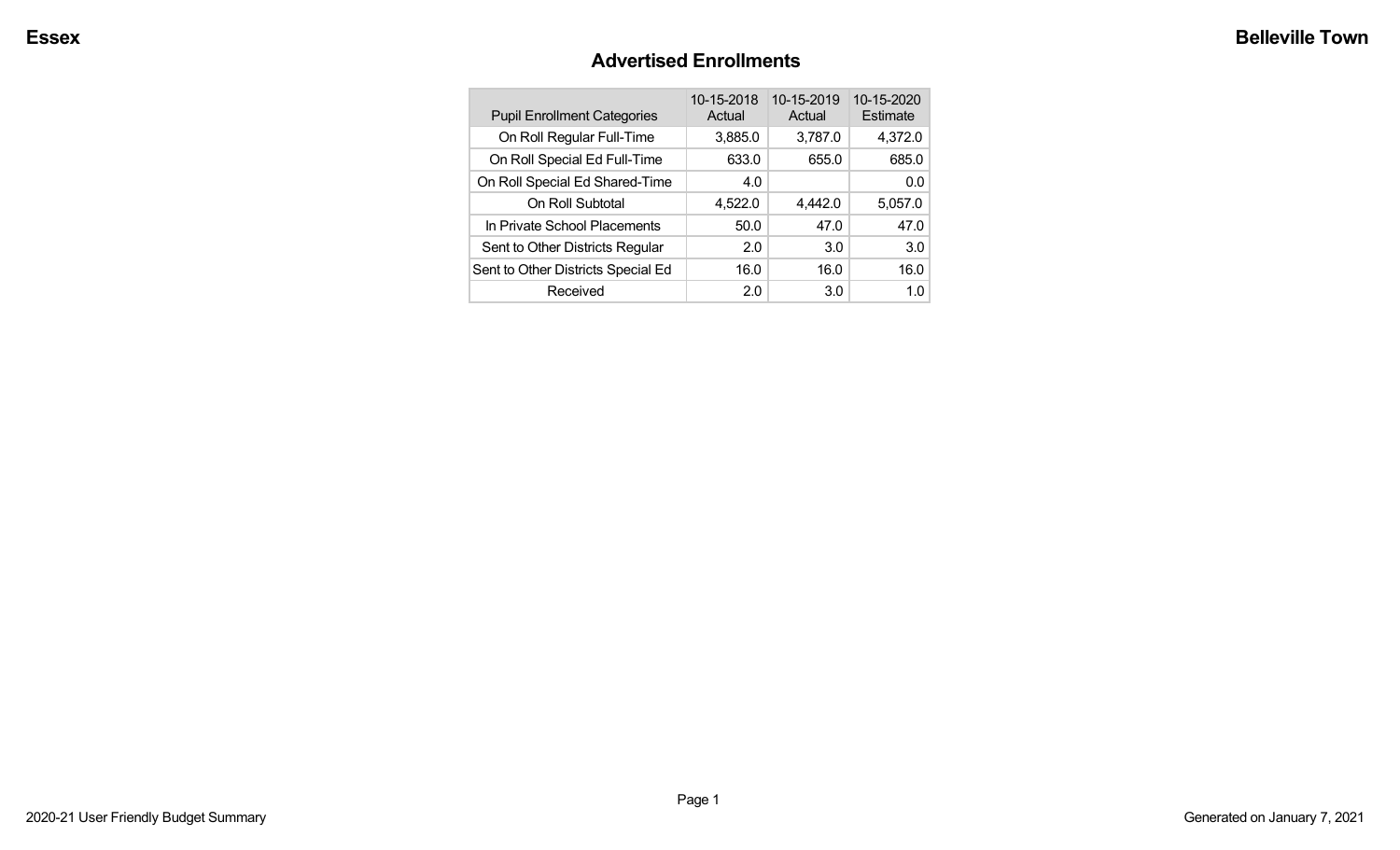#### **Advertised Enrollments**

| <b>Pupil Enrollment Categories</b> | 10-15-2018<br>Actual | 10-15-2019<br>Actual | 10-15-2020<br>Estimate |
|------------------------------------|----------------------|----------------------|------------------------|
| On Roll Regular Full-Time          | 3,885.0              | 3,787.0              | 4,372.0                |
| On Roll Special Ed Full-Time       | 633.0                | 655.0                | 685.0                  |
| On Roll Special Ed Shared-Time     | 4.0                  |                      | 0.0                    |
| On Roll Subtotal                   | 4,522.0              | 4,442.0              | 5,057.0                |
| In Private School Placements       | 50.0                 | 47.0                 | 47.0                   |
| Sent to Other Districts Regular    | 2.0                  | 3.0                  | 3.0                    |
| Sent to Other Districts Special Ed | 16.0                 | 16.0                 | 16.0                   |
| Received                           | 2.0                  | 3.0                  | 1 በ                    |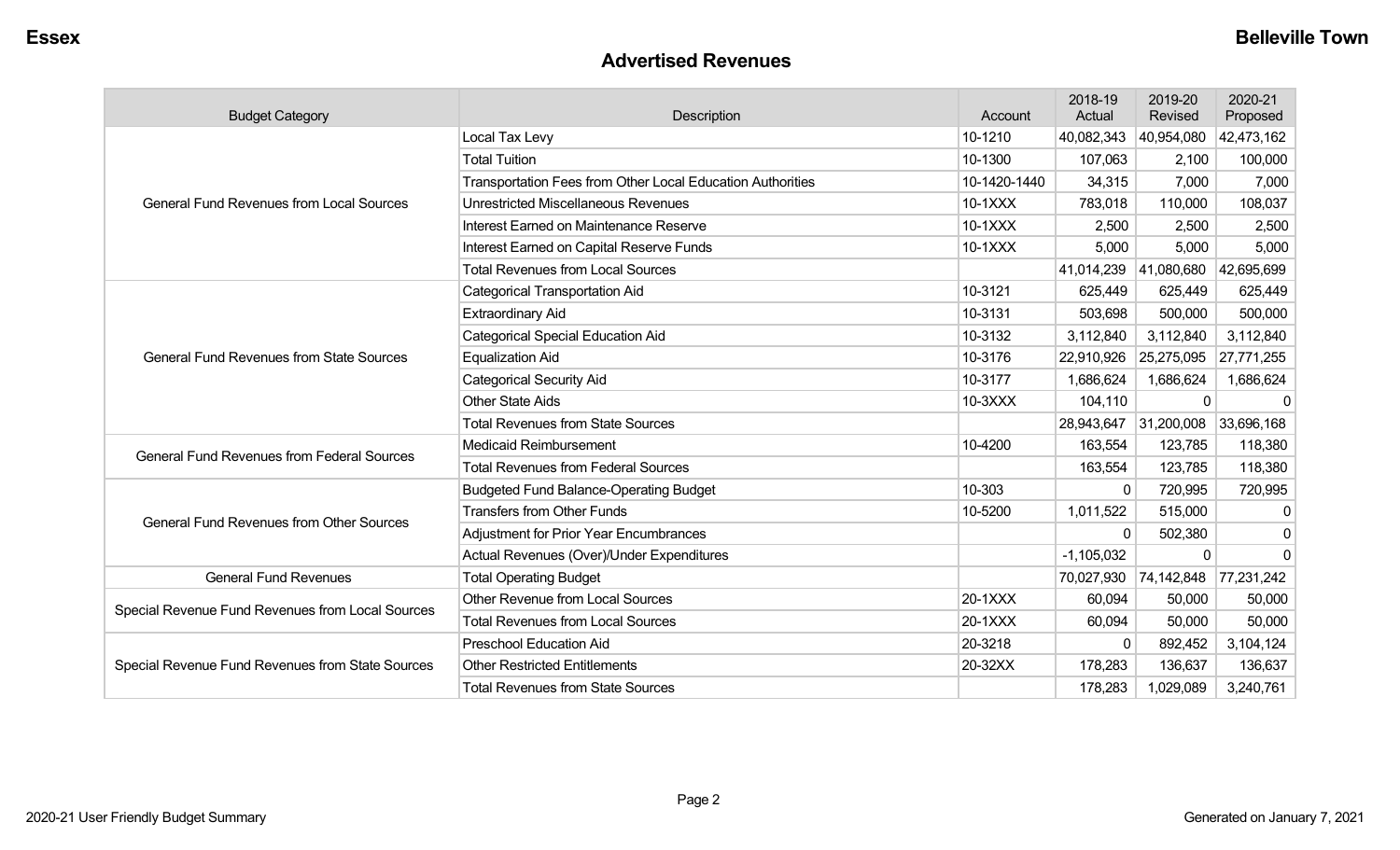#### **Advertised Revenues**

| <b>Budget Category</b>                                                                                                                                                                                                                                                                                                                                                                                                                                                                                                                                                                                                                                                                                                                                                                                                                                                               | 2018-19<br>Actual<br>Description<br>Account                |              |                                                   | 2019-20<br>Revised    | 2020-21<br>Proposed |
|--------------------------------------------------------------------------------------------------------------------------------------------------------------------------------------------------------------------------------------------------------------------------------------------------------------------------------------------------------------------------------------------------------------------------------------------------------------------------------------------------------------------------------------------------------------------------------------------------------------------------------------------------------------------------------------------------------------------------------------------------------------------------------------------------------------------------------------------------------------------------------------|------------------------------------------------------------|--------------|---------------------------------------------------|-----------------------|---------------------|
|                                                                                                                                                                                                                                                                                                                                                                                                                                                                                                                                                                                                                                                                                                                                                                                                                                                                                      | Local Tax Levy                                             | 10-1210      | 40,082,343                                        | 40,954,080            | 42,473,162          |
|                                                                                                                                                                                                                                                                                                                                                                                                                                                                                                                                                                                                                                                                                                                                                                                                                                                                                      | <b>Total Tuition</b>                                       | 10-1300      | 107,063                                           | 2,100                 | 100,000             |
|                                                                                                                                                                                                                                                                                                                                                                                                                                                                                                                                                                                                                                                                                                                                                                                                                                                                                      | Transportation Fees from Other Local Education Authorities | 10-1420-1440 | 34,315                                            | 7,000                 | 7,000               |
| <b>General Fund Revenues from Local Sources</b>                                                                                                                                                                                                                                                                                                                                                                                                                                                                                                                                                                                                                                                                                                                                                                                                                                      | <b>Unrestricted Miscellaneous Revenues</b>                 | 10-1XXX      | 783,018                                           | 110,000               | 108,037             |
|                                                                                                                                                                                                                                                                                                                                                                                                                                                                                                                                                                                                                                                                                                                                                                                                                                                                                      | Interest Earned on Maintenance Reserve                     | $10-1XXX$    | 2,500                                             | 2,500                 | 2,500               |
|                                                                                                                                                                                                                                                                                                                                                                                                                                                                                                                                                                                                                                                                                                                                                                                                                                                                                      | Interest Earned on Capital Reserve Funds                   | 10-1XXX      | 5,000                                             | 5,000                 | 5,000               |
| <b>Total Revenues from Local Sources</b><br><b>Categorical Transportation Aid</b><br><b>Extraordinary Aid</b><br><b>Categorical Special Education Aid</b><br><b>General Fund Revenues from State Sources</b><br><b>Equalization Aid</b><br><b>Categorical Security Aid</b><br><b>Other State Aids</b><br><b>Total Revenues from State Sources</b><br><b>Medicaid Reimbursement</b><br><b>General Fund Revenues from Federal Sources</b><br><b>Total Revenues from Federal Sources</b><br><b>Budgeted Fund Balance-Operating Budget</b><br><b>Transfers from Other Funds</b><br><b>General Fund Revenues from Other Sources</b><br><b>Adjustment for Prior Year Encumbrances</b><br>Actual Revenues (Over)/Under Expenditures<br><b>General Fund Revenues</b><br><b>Total Operating Budget</b><br><b>Other Revenue from Local Sources</b><br><b>Total Revenues from Local Sources</b> |                                                            | 41,014,239   | 41,080,680                                        | 42,695,699            |                     |
|                                                                                                                                                                                                                                                                                                                                                                                                                                                                                                                                                                                                                                                                                                                                                                                                                                                                                      |                                                            | 10-3121      | 625,449                                           | 625,449               | 625,449             |
|                                                                                                                                                                                                                                                                                                                                                                                                                                                                                                                                                                                                                                                                                                                                                                                                                                                                                      |                                                            | 10-3131      | 503,698                                           | 500,000               | 500,000             |
|                                                                                                                                                                                                                                                                                                                                                                                                                                                                                                                                                                                                                                                                                                                                                                                                                                                                                      |                                                            | 10-3132      | 3,112,840                                         | 3,112,840             | 3,112,840           |
|                                                                                                                                                                                                                                                                                                                                                                                                                                                                                                                                                                                                                                                                                                                                                                                                                                                                                      |                                                            | 10-3176      | 22,910,926                                        | 25,275,095            | 27,771,255          |
|                                                                                                                                                                                                                                                                                                                                                                                                                                                                                                                                                                                                                                                                                                                                                                                                                                                                                      |                                                            | 10-3177      | 1,686,624                                         | 1,686,624             | 1,686,624           |
|                                                                                                                                                                                                                                                                                                                                                                                                                                                                                                                                                                                                                                                                                                                                                                                                                                                                                      |                                                            | 10-3XXX      | 104,110                                           | $\mathbf{0}$          | $\mathbf 0$         |
|                                                                                                                                                                                                                                                                                                                                                                                                                                                                                                                                                                                                                                                                                                                                                                                                                                                                                      |                                                            |              | 28,943,647                                        | 31,200,008 33,696,168 |                     |
|                                                                                                                                                                                                                                                                                                                                                                                                                                                                                                                                                                                                                                                                                                                                                                                                                                                                                      |                                                            | 10-4200      | 163,554                                           | 123,785               | 118,380             |
|                                                                                                                                                                                                                                                                                                                                                                                                                                                                                                                                                                                                                                                                                                                                                                                                                                                                                      |                                                            |              | 163,554                                           | 123,785               | 118,380             |
|                                                                                                                                                                                                                                                                                                                                                                                                                                                                                                                                                                                                                                                                                                                                                                                                                                                                                      |                                                            | 10-303       | $\Omega$                                          | 720,995               | 720,995             |
|                                                                                                                                                                                                                                                                                                                                                                                                                                                                                                                                                                                                                                                                                                                                                                                                                                                                                      |                                                            | 10-5200      | 1,011,522                                         | 515,000               | 0                   |
|                                                                                                                                                                                                                                                                                                                                                                                                                                                                                                                                                                                                                                                                                                                                                                                                                                                                                      |                                                            |              |                                                   | 502,380               | 0                   |
|                                                                                                                                                                                                                                                                                                                                                                                                                                                                                                                                                                                                                                                                                                                                                                                                                                                                                      |                                                            |              | $-1,105,032$                                      | $\Omega$              | $\Omega$            |
|                                                                                                                                                                                                                                                                                                                                                                                                                                                                                                                                                                                                                                                                                                                                                                                                                                                                                      |                                                            |              | 70,027,930                                        | 74,142,848            | 77,231,242          |
|                                                                                                                                                                                                                                                                                                                                                                                                                                                                                                                                                                                                                                                                                                                                                                                                                                                                                      |                                                            | 20-1XXX      | 60,094                                            | 50,000                | 50,000              |
|                                                                                                                                                                                                                                                                                                                                                                                                                                                                                                                                                                                                                                                                                                                                                                                                                                                                                      |                                                            | 20-1XXX      | $\mathbf{0}$<br>60,094<br>$\mathbf{0}$<br>178,283 | 50,000                | 50,000              |
|                                                                                                                                                                                                                                                                                                                                                                                                                                                                                                                                                                                                                                                                                                                                                                                                                                                                                      | <b>Preschool Education Aid</b>                             | 20-3218      |                                                   | 892,452               | 3,104,124           |
| Special Revenue Fund Revenues from State Sources                                                                                                                                                                                                                                                                                                                                                                                                                                                                                                                                                                                                                                                                                                                                                                                                                                     | <b>Other Restricted Entitlements</b>                       | 20-32XX      |                                                   | 136,637               | 136,637             |
| Special Revenue Fund Revenues from Local Sources                                                                                                                                                                                                                                                                                                                                                                                                                                                                                                                                                                                                                                                                                                                                                                                                                                     | <b>Total Revenues from State Sources</b>                   |              | 178,283                                           | 1,029,089             | 3,240,761           |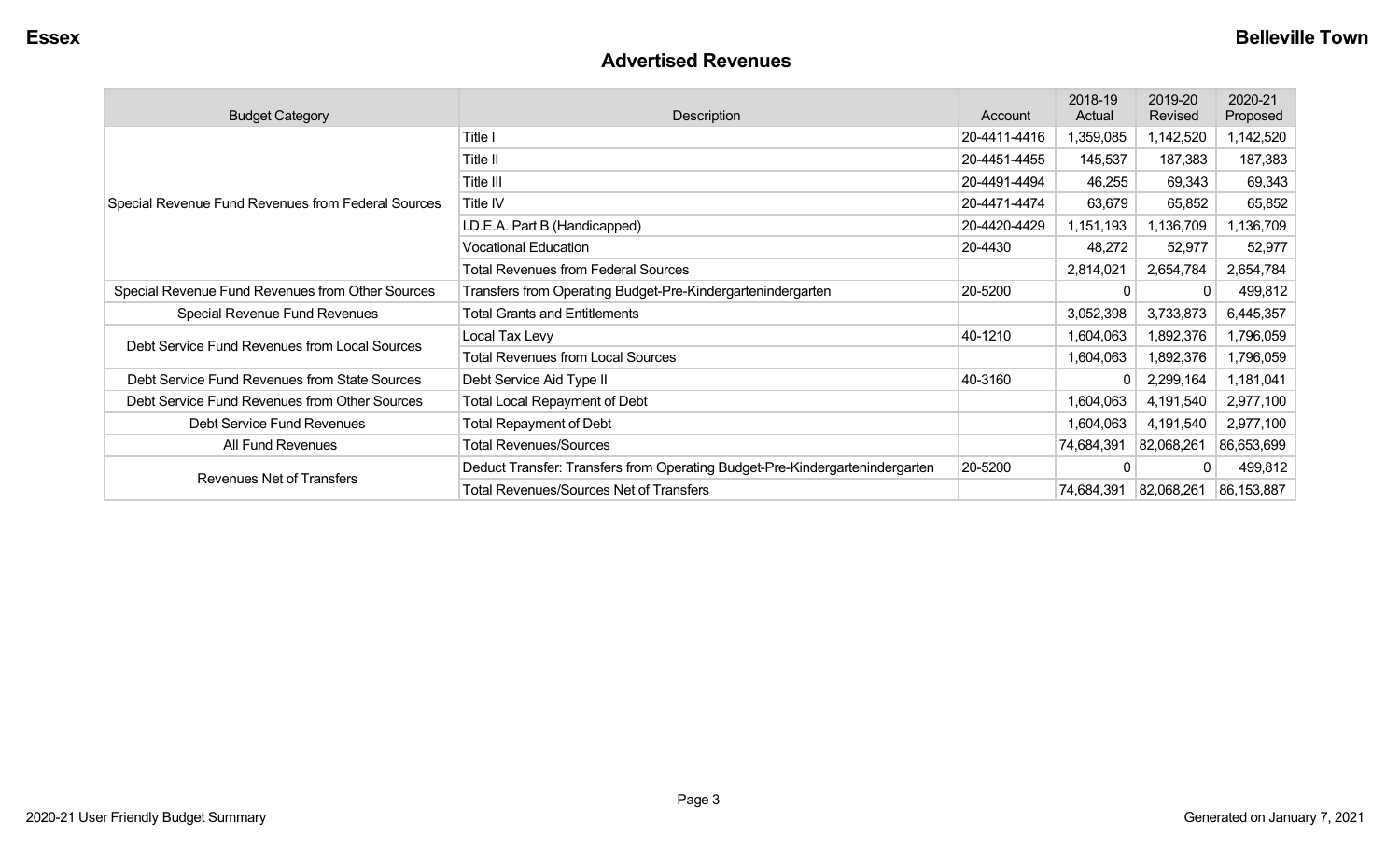#### **Advertised Revenues**

| <b>Budget Category</b>                             | Description                                                                  | Account      | 2018-19<br>Actual | 2019-20<br>Revised | 2020-21<br>Proposed |
|----------------------------------------------------|------------------------------------------------------------------------------|--------------|-------------------|--------------------|---------------------|
|                                                    | Title I                                                                      | 20-4411-4416 | 1,359,085         | 1,142,520          | 1,142,520           |
|                                                    | Title II                                                                     | 20-4451-4455 | 145,537           | 187,383            | 187,383             |
| Special Revenue Fund Revenues from Federal Sources | Title III                                                                    | 20-4491-4494 | 46,255            | 69,343             | 69,343              |
|                                                    | Title IV                                                                     | 20-4471-4474 | 63,679            | 65,852             | 65,852              |
|                                                    | I.D.E.A. Part B (Handicapped)                                                | 20-4420-4429 | 1,151,193         | 1,136,709          | 1,136,709           |
|                                                    | <b>Vocational Education</b>                                                  | 20-4430      | 48,272            | 52,977             | 52,977              |
|                                                    | <b>Total Revenues from Federal Sources</b>                                   |              | 2,814,021         | 2,654,784          | 2,654,784           |
| Special Revenue Fund Revenues from Other Sources   | Transfers from Operating Budget-Pre-Kindergartenindergarten                  | 20-5200      | $\mathbf{0}$      |                    | 499,812             |
| Special Revenue Fund Revenues                      | <b>Total Grants and Entitlements</b>                                         |              | 3,052,398         | 3,733,873          | 6,445,357           |
| Debt Service Fund Revenues from Local Sources      | Local Tax Levy                                                               | 40-1210      | 1,604,063         | 1,892,376          | 1,796,059           |
|                                                    | <b>Total Revenues from Local Sources</b>                                     |              | 1,604,063         | 1,892,376          | 1,796,059           |
| Debt Service Fund Revenues from State Sources      | Debt Service Aid Type II                                                     | 40-3160      | $\Omega$          | 2,299,164          | 1,181,041           |
| Debt Service Fund Revenues from Other Sources      | <b>Total Local Repayment of Debt</b>                                         |              | 1,604,063         | 4,191,540          | 2,977,100           |
| Debt Service Fund Revenues                         | <b>Total Repayment of Debt</b>                                               |              | 1,604,063         | 4,191,540          | 2,977,100           |
| All Fund Revenues                                  | <b>Total Revenues/Sources</b>                                                |              | 74,684,391        | 82,068,261         | 86,653,699          |
|                                                    | Deduct Transfer: Transfers from Operating Budget-Pre-Kindergartenindergarten | 20-5200      | $\Omega$          |                    | 499,812             |
| <b>Revenues Net of Transfers</b>                   | <b>Total Revenues/Sources Net of Transfers</b>                               |              | 74,684,391        | 82,068,261         | 86,153,887          |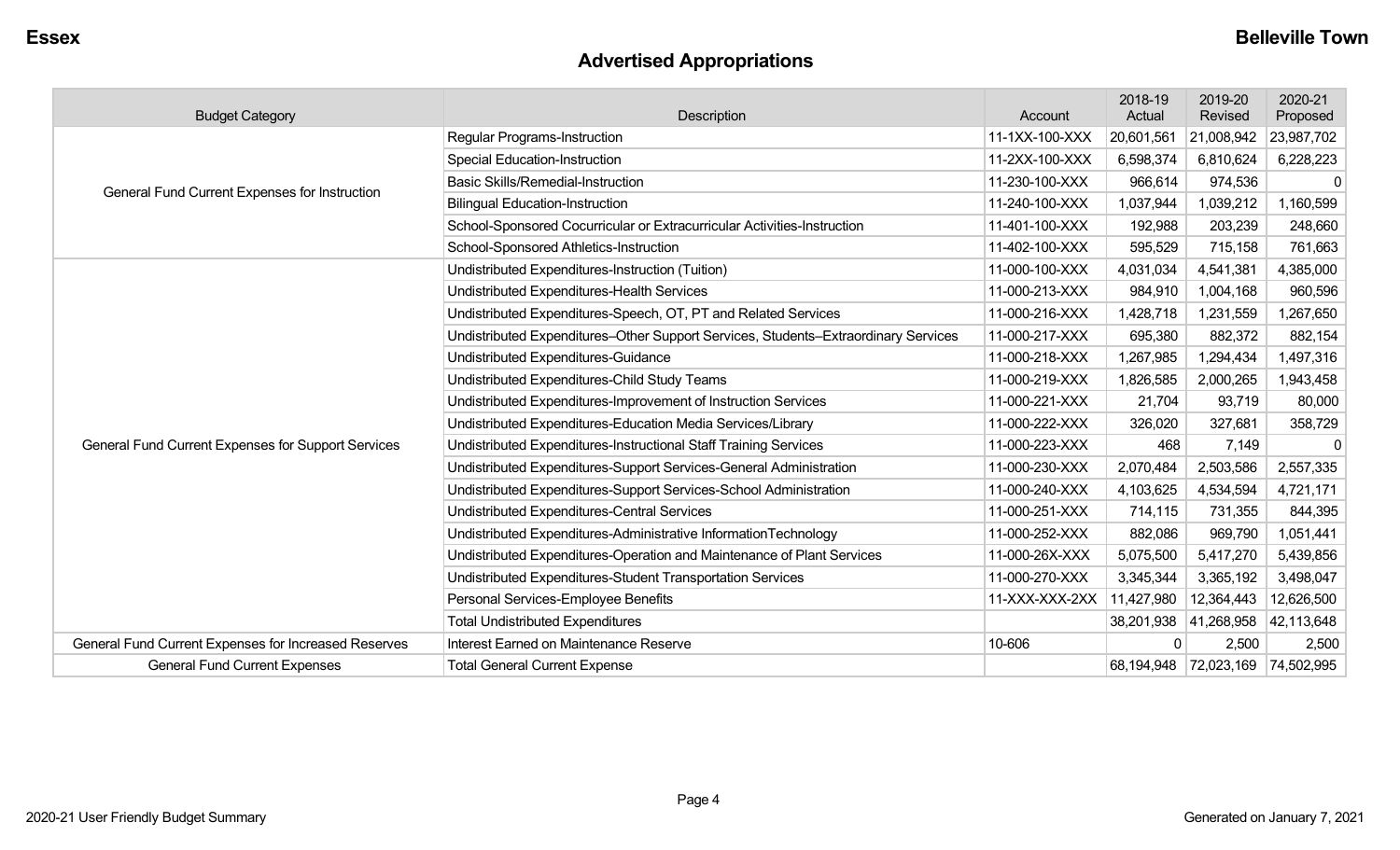# **Advertised Appropriations**

| <b>Budget Category</b>                               | Description                                                                        | Account        | 2018-19<br>Actual | 2019-20<br>Revised               | 2020-21<br>Proposed |
|------------------------------------------------------|------------------------------------------------------------------------------------|----------------|-------------------|----------------------------------|---------------------|
|                                                      | <b>Regular Programs-Instruction</b>                                                | 11-1XX-100-XXX | 20,601,561        | 21,008,942                       | 23,987,702          |
|                                                      | <b>Special Education-Instruction</b>                                               | 11-2XX-100-XXX | 6,598,374         | 6,810,624                        | 6,228,223           |
|                                                      | <b>Basic Skills/Remedial-Instruction</b>                                           | 11-230-100-XXX | 966,614           | 974,536                          | $\mathbf{0}$        |
| General Fund Current Expenses for Instruction        | <b>Bilingual Education-Instruction</b>                                             | 11-240-100-XXX | 1,037,944         | ,039,212                         | 1,160,599           |
|                                                      | School-Sponsored Cocurricular or Extracurricular Activities-Instruction            | 11-401-100-XXX | 192,988           | 203,239                          | 248,660             |
|                                                      | School-Sponsored Athletics-Instruction                                             | 11-402-100-XXX | 595,529           | 715,158                          | 761,663             |
|                                                      | Undistributed Expenditures-Instruction (Tuition)                                   | 11-000-100-XXX | 4,031,034         | 4,541,381                        | 4,385,000           |
|                                                      | Undistributed Expenditures-Health Services                                         | 11-000-213-XXX | 984,910           | 1,004,168                        | 960,596             |
|                                                      | Undistributed Expenditures-Speech, OT, PT and Related Services                     | 11-000-216-XXX | 1,428,718         | 1,231,559                        | 1,267,650           |
|                                                      | Undistributed Expenditures-Other Support Services, Students-Extraordinary Services | 11-000-217-XXX | 695,380           | 882,372                          | 882,154             |
|                                                      | Undistributed Expenditures-Guidance                                                | 11-000-218-XXX | 1,267,985         | 1,294,434                        | 1,497,316           |
|                                                      | Undistributed Expenditures-Child Study Teams                                       | 11-000-219-XXX | 1,826,585         | 2,000,265                        | 1,943,458           |
|                                                      | Undistributed Expenditures-Improvement of Instruction Services                     | 11-000-221-XXX | 21,704            | 93,719                           | 80,000              |
|                                                      | Undistributed Expenditures-Education Media Services/Library                        | 11-000-222-XXX | 326,020           | 327,681                          | 358,729             |
| General Fund Current Expenses for Support Services   | Undistributed Expenditures-Instructional Staff Training Services                   | 11-000-223-XXX | 468               | 7,149                            | $\Omega$            |
|                                                      | Undistributed Expenditures-Support Services-General Administration                 | 11-000-230-XXX | 2,070,484         | 2,503,586                        | 2,557,335           |
|                                                      | Undistributed Expenditures-Support Services-School Administration                  | 11-000-240-XXX | 4,103,625         | 4,534,594                        | 4,721,171           |
|                                                      | Undistributed Expenditures-Central Services                                        | 11-000-251-XXX | 714,115           | 731,355                          | 844,395             |
|                                                      | Undistributed Expenditures-Administrative InformationTechnology                    | 11-000-252-XXX | 882,086           | 969,790                          | 1,051,441           |
|                                                      | Undistributed Expenditures-Operation and Maintenance of Plant Services             | 11-000-26X-XXX | 5,075,500         | 5,417,270                        | 5,439,856           |
|                                                      | Undistributed Expenditures-Student Transportation Services                         | 11-000-270-XXX | 3,345,344         | 3,365,192                        | 3,498,047           |
|                                                      | Personal Services-Employee Benefits                                                | 11-XXX-XXX-2XX | 11,427,980        | 12,364,443                       | 12,626,500          |
|                                                      | <b>Total Undistributed Expenditures</b>                                            |                |                   | 38,201,938 41,268,958            | 42,113,648          |
| General Fund Current Expenses for Increased Reserves | Interest Earned on Maintenance Reserve                                             | 10-606         | $\Omega$          | 2,500                            | 2,500               |
| <b>General Fund Current Expenses</b>                 | <b>Total General Current Expense</b>                                               |                |                   | 68,194,948 72,023,169 74,502,995 |                     |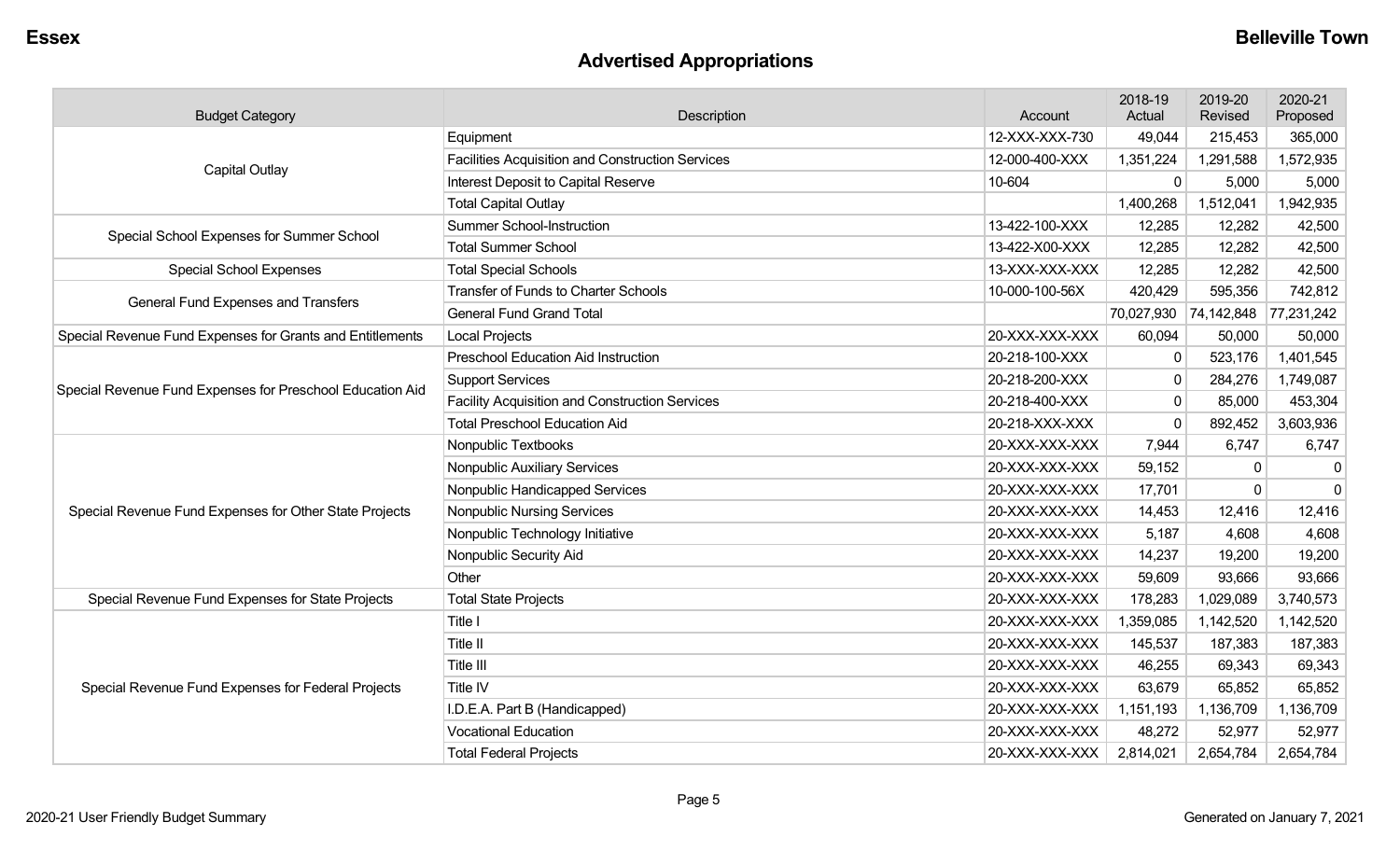## **Advertised Appropriations**

| <b>Budget Category</b>                                                                                                                                                                                                                                                                  | Description                                             | Account        | 2018-19<br>Actual                                                                                                                                                       | 2019-20<br>Revised | 2020-21<br>Proposed |
|-----------------------------------------------------------------------------------------------------------------------------------------------------------------------------------------------------------------------------------------------------------------------------------------|---------------------------------------------------------|----------------|-------------------------------------------------------------------------------------------------------------------------------------------------------------------------|--------------------|---------------------|
|                                                                                                                                                                                                                                                                                         | Equipment                                               | 12-XXX-XXX-730 | 49,044                                                                                                                                                                  | 215,453            | 365,000             |
|                                                                                                                                                                                                                                                                                         | <b>Facilities Acquisition and Construction Services</b> | 12-000-400-XXX | 1,351,224                                                                                                                                                               | 1,291,588          | 1,572,935           |
|                                                                                                                                                                                                                                                                                         | Interest Deposit to Capital Reserve                     | 10-604         | 0                                                                                                                                                                       | 5,000              | 5,000               |
|                                                                                                                                                                                                                                                                                         | <b>Total Capital Outlay</b>                             |                | 1,400,268                                                                                                                                                               | 1,512,041          | 1,942,935           |
|                                                                                                                                                                                                                                                                                         | <b>Summer School-Instruction</b>                        | 13-422-100-XXX | 12,285                                                                                                                                                                  | 12,282             | 42,500              |
|                                                                                                                                                                                                                                                                                         | <b>Total Summer School</b>                              | 13-422-X00-XXX | 12,285                                                                                                                                                                  | 12,282             | 42,500              |
| <b>Special School Expenses</b>                                                                                                                                                                                                                                                          | <b>Total Special Schools</b>                            | 13-XXX-XXX-XXX | 12,285                                                                                                                                                                  | 12,282             | 42,500              |
|                                                                                                                                                                                                                                                                                         | <b>Transfer of Funds to Charter Schools</b>             | 10-000-100-56X | 420,429                                                                                                                                                                 | 595,356            | 742,812             |
|                                                                                                                                                                                                                                                                                         | <b>General Fund Grand Total</b>                         |                | 70,027,930                                                                                                                                                              | 74,142,848         | 77,231,242          |
| Special Revenue Fund Expenses for Grants and Entitlements                                                                                                                                                                                                                               | <b>Local Projects</b>                                   | 20-XXX-XXX-XXX | 60,094                                                                                                                                                                  | 50,000             | 50,000              |
|                                                                                                                                                                                                                                                                                         | <b>Preschool Education Aid Instruction</b>              | 20-218-100-XXX | 0<br>$\mathbf{0}$<br>$\mathbf 0$                                                                                                                                        | 523,176            | 1,401,545           |
| Special Revenue Fund Expenses for Preschool Education Aid                                                                                                                                                                                                                               | <b>Support Services</b>                                 | 20-218-200-XXX |                                                                                                                                                                         | 284,276            | 1,749,087           |
|                                                                                                                                                                                                                                                                                         | <b>Facility Acquisition and Construction Services</b>   | 20-218-400-XXX |                                                                                                                                                                         | 85,000             | 453,304             |
|                                                                                                                                                                                                                                                                                         | <b>Total Preschool Education Aid</b>                    | 20-218-XXX-XXX | $\Omega$<br>7,944<br>59,152<br>17,701<br>14,453<br>5,187<br>14,237<br>59,609<br>178,283<br>1,359,085<br>145,537<br>46,255<br>63,679<br>1,151,193<br>48,272<br>2,814,021 | 892,452            | 3,603,936           |
|                                                                                                                                                                                                                                                                                         | Nonpublic Textbooks                                     | 20-XXX-XXX-XXX |                                                                                                                                                                         | 6,747              | 6,747               |
|                                                                                                                                                                                                                                                                                         | Nonpublic Auxiliary Services                            | 20-XXX-XXX-XXX |                                                                                                                                                                         | 0                  | 0                   |
|                                                                                                                                                                                                                                                                                         | Nonpublic Handicapped Services                          | 20-XXX-XXX-XXX |                                                                                                                                                                         | $\mathbf 0$        | $\mathbf 0$         |
| Special Revenue Fund Expenses for Other State Projects                                                                                                                                                                                                                                  | <b>Nonpublic Nursing Services</b>                       | 20-XXX-XXX-XXX |                                                                                                                                                                         | 12,416             | 12,416              |
|                                                                                                                                                                                                                                                                                         | Nonpublic Technology Initiative                         | 20-XXX-XXX-XXX |                                                                                                                                                                         | 4,608              | 4,608               |
|                                                                                                                                                                                                                                                                                         | Nonpublic Security Aid                                  | 20-XXX-XXX-XXX |                                                                                                                                                                         | 19,200             | 19,200              |
|                                                                                                                                                                                                                                                                                         | Other                                                   | 20-XXX-XXX-XXX |                                                                                                                                                                         | 93,666             | 93,666              |
| Special Revenue Fund Expenses for State Projects                                                                                                                                                                                                                                        | <b>Total State Projects</b>                             | 20-XXX-XXX-XXX |                                                                                                                                                                         | 1,029,089          | 3,740,573           |
|                                                                                                                                                                                                                                                                                         | Title I                                                 | 20-XXX-XXX-XXX |                                                                                                                                                                         | 1,142,520          | 1,142,520           |
|                                                                                                                                                                                                                                                                                         | <b>Title II</b>                                         | 20-XXX-XXX-XXX |                                                                                                                                                                         | 187,383            | 187,383             |
|                                                                                                                                                                                                                                                                                         | Title III                                               | 20-XXX-XXX-XXX |                                                                                                                                                                         | 69,343             | 69,343              |
| Capital Outlay<br>Special School Expenses for Summer School<br>General Fund Expenses and Transfers<br>Title IV<br>Special Revenue Fund Expenses for Federal Projects<br>20-XXX-XXX-XXX<br>I.D.E.A. Part B (Handicapped)<br><b>Vocational Education</b><br><b>Total Federal Projects</b> |                                                         | 65,852         | 65,852                                                                                                                                                                  |                    |                     |
|                                                                                                                                                                                                                                                                                         |                                                         | 20-XXX-XXX-XXX |                                                                                                                                                                         | 1,136,709          | 1,136,709           |
|                                                                                                                                                                                                                                                                                         |                                                         | 20-XXX-XXX-XXX |                                                                                                                                                                         | 52,977             | 52,977              |
|                                                                                                                                                                                                                                                                                         |                                                         | 20-XXX-XXX-XXX |                                                                                                                                                                         | 2,654,784          | 2,654,784           |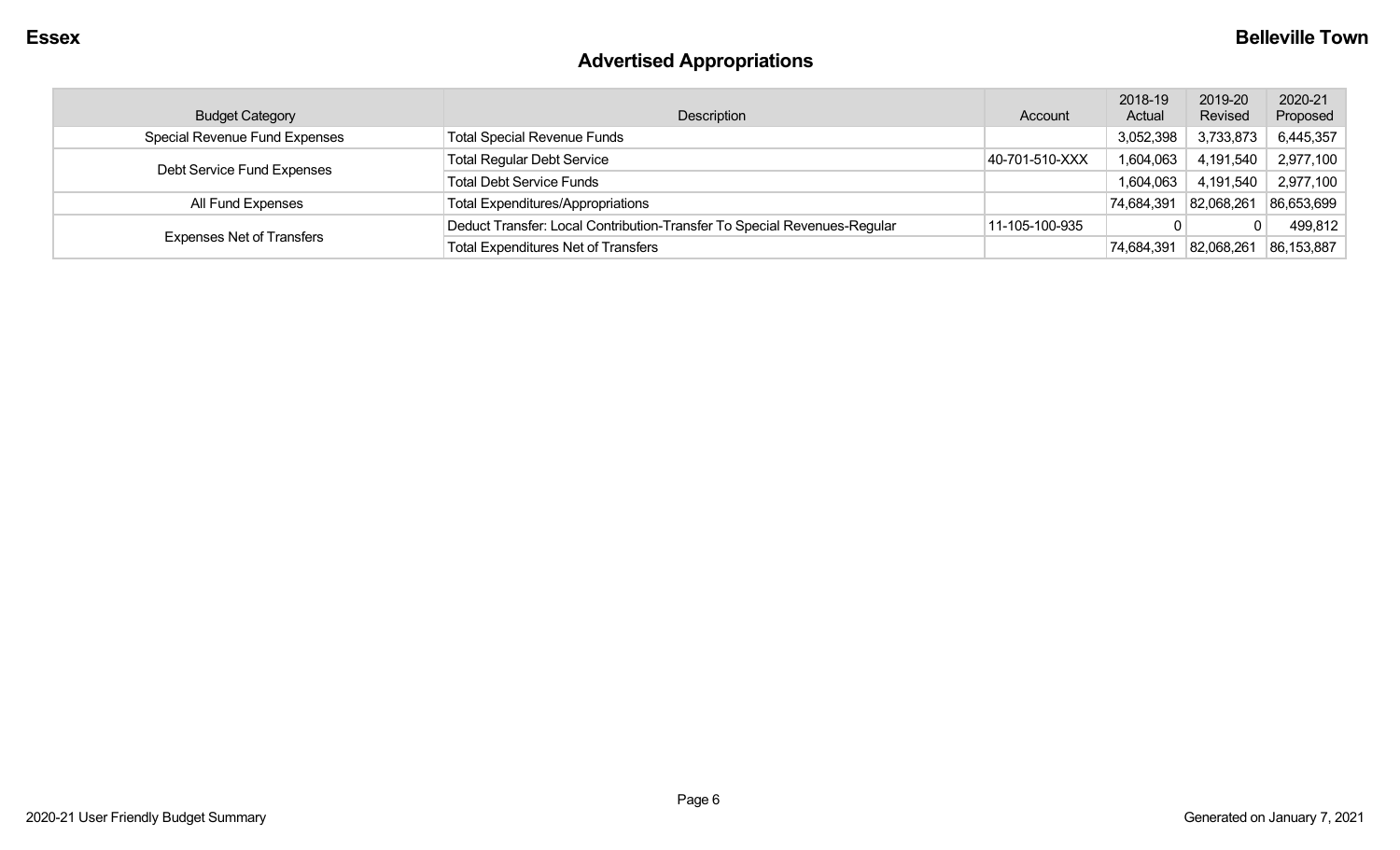# **Advertised Appropriations**

| <b>Budget Category</b>           | Description                                                              | Account        | 2018-19<br>Actual | 2019-20<br>Revised | 2020-21<br>Proposed |
|----------------------------------|--------------------------------------------------------------------------|----------------|-------------------|--------------------|---------------------|
| Special Revenue Fund Expenses    | <b>Total Special Revenue Funds</b>                                       |                | 3,052,398         | 3,733,873          | 6,445,357           |
| Debt Service Fund Expenses       | <b>Total Regular Debt Service</b>                                        | 40-701-510-XXX | 1,604,063         | 4,191,540          | 2,977,100           |
|                                  | <b>Total Debt Service Funds</b>                                          |                | 1,604,063         | 4,191,540          | 2,977,100           |
| All Fund Expenses                | <b>Total Expenditures/Appropriations</b>                                 |                | 74,684,391        | 82,068,261         | 86,653,699          |
|                                  | Deduct Transfer: Local Contribution-Transfer To Special Revenues-Regular | 11-105-100-935 |                   |                    | 499,812             |
| <b>Expenses Net of Transfers</b> | <b>Total Expenditures Net of Transfers</b>                               |                | 74,684,391        | 82,068,261         | 86,153,887          |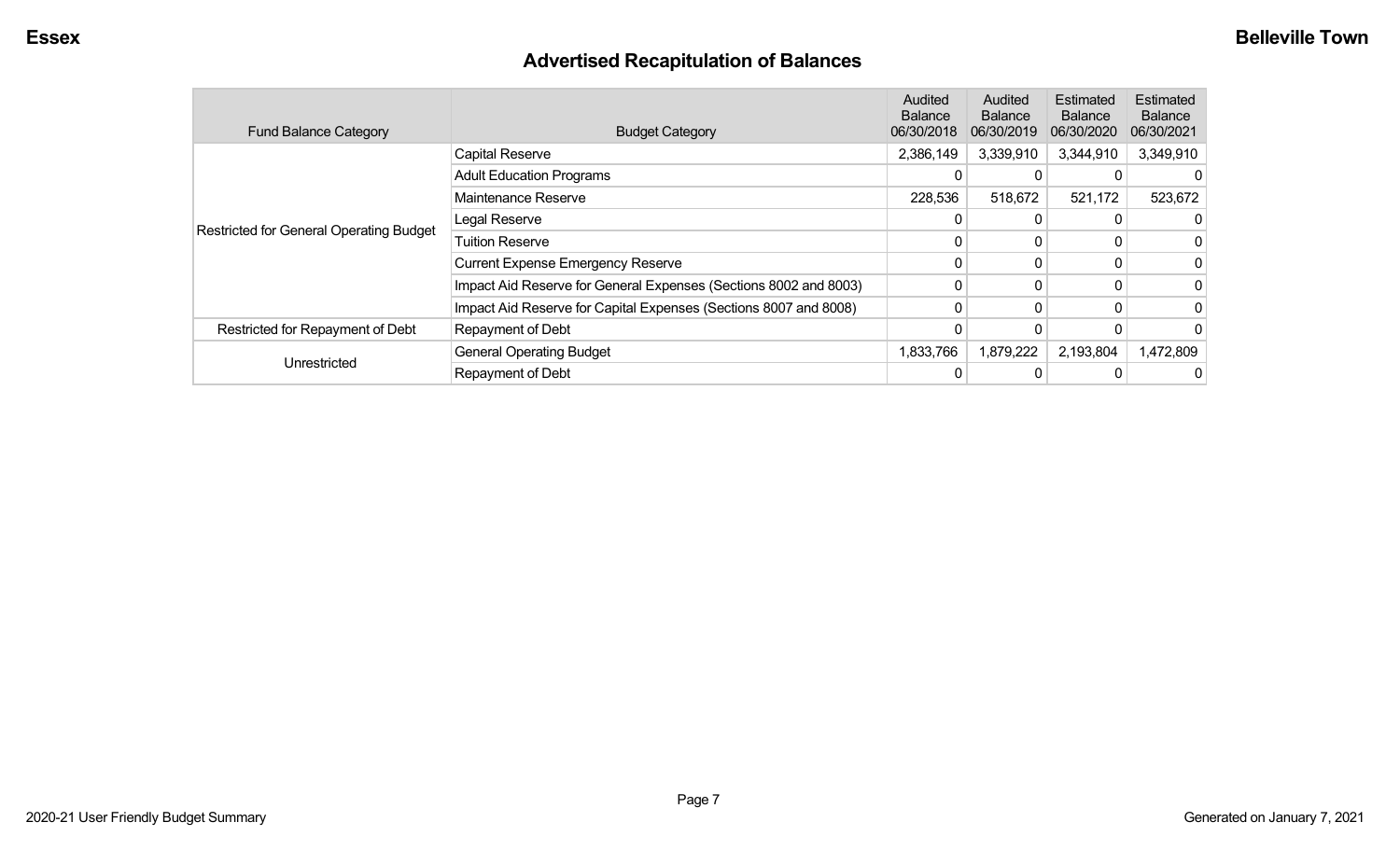## **Advertised Recapitulation of Balances**

| <b>Fund Balance Category</b>                   | <b>Budget Category</b>                                           | Audited<br><b>Balance</b><br>06/30/2018 | Audited<br><b>Balance</b><br>06/30/2019 | Estimated<br><b>Balance</b><br>06/30/2020 | Estimated<br><b>Balance</b><br>06/30/2021 |
|------------------------------------------------|------------------------------------------------------------------|-----------------------------------------|-----------------------------------------|-------------------------------------------|-------------------------------------------|
|                                                | <b>Capital Reserve</b>                                           | 2,386,149                               | 3,339,910                               | 3,344,910                                 | 3,349,910                                 |
| <b>Restricted for General Operating Budget</b> | <b>Adult Education Programs</b>                                  | 0                                       |                                         |                                           |                                           |
|                                                | Maintenance Reserve                                              | 228,536                                 | 518,672                                 | 521,172                                   | 523,672                                   |
|                                                | Legal Reserve                                                    | 0                                       | 0                                       |                                           |                                           |
|                                                | <b>Tuition Reserve</b>                                           |                                         | 0                                       |                                           |                                           |
|                                                | <b>Current Expense Emergency Reserve</b>                         | 0                                       | 0                                       |                                           |                                           |
|                                                | Impact Aid Reserve for General Expenses (Sections 8002 and 8003) | 0                                       | 0                                       |                                           |                                           |
|                                                | Impact Aid Reserve for Capital Expenses (Sections 8007 and 8008) | 0                                       | $\mathbf{0}$                            | 0                                         |                                           |
| Restricted for Repayment of Debt               | Repayment of Debt                                                |                                         |                                         |                                           |                                           |
|                                                | <b>General Operating Budget</b>                                  | 1,833,766                               | 1,879,222                               | 2,193,804                                 | 1,472,809                                 |
| Unrestricted                                   | Repayment of Debt                                                | 0                                       |                                         |                                           |                                           |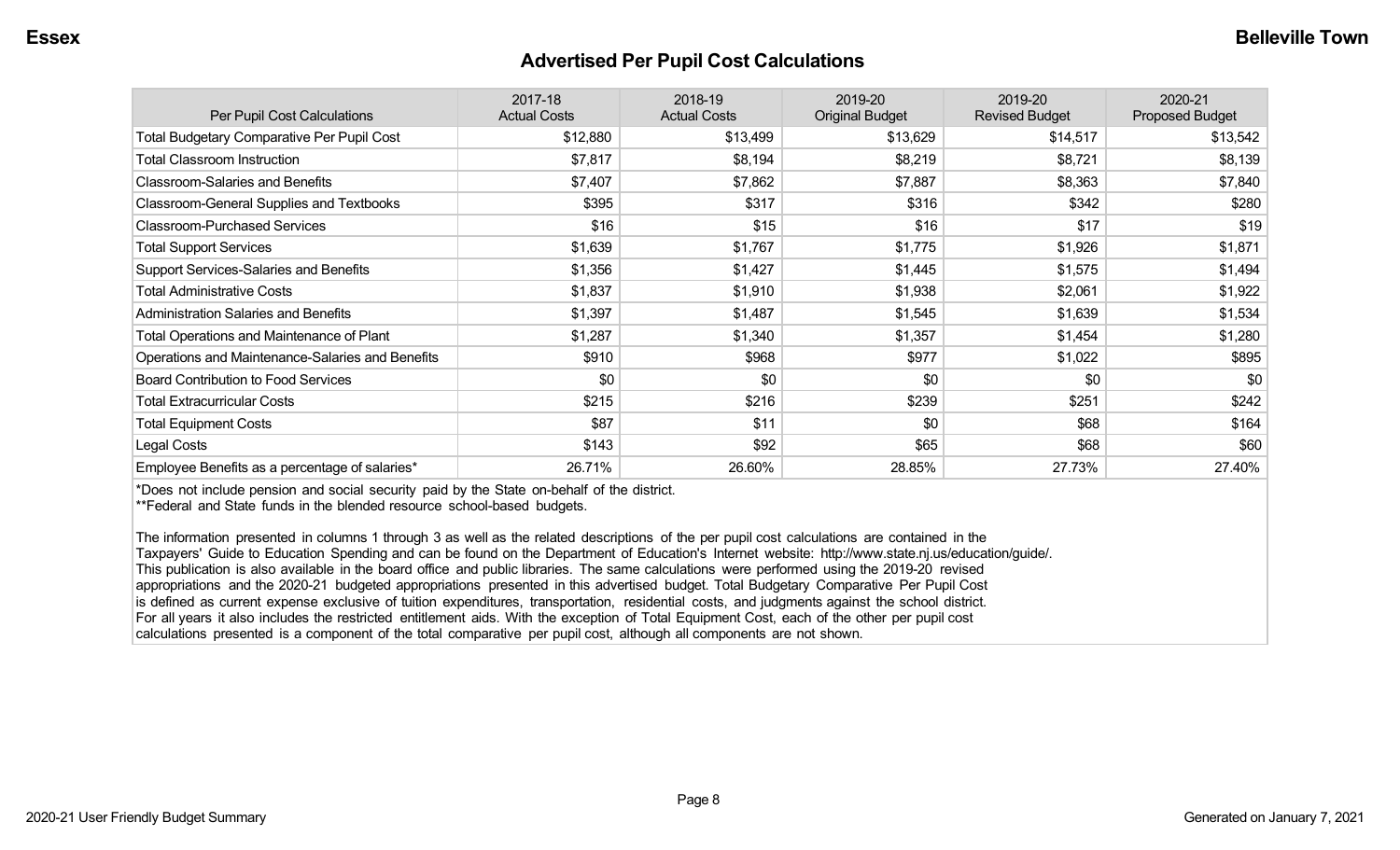#### **Advertised Per Pupil Cost Calculations**

| Per Pupil Cost Calculations                       | 2017-18<br><b>Actual Costs</b> | 2018-19<br><b>Actual Costs</b> | 2019-20<br><b>Original Budget</b> | 2019-20<br><b>Revised Budget</b> | 2020-21<br><b>Proposed Budget</b> |
|---------------------------------------------------|--------------------------------|--------------------------------|-----------------------------------|----------------------------------|-----------------------------------|
| <b>Total Budgetary Comparative Per Pupil Cost</b> | \$12,880                       | \$13,499                       | \$13,629                          | \$14,517                         | \$13,542                          |
| <b>Total Classroom Instruction</b>                | \$7,817                        | \$8,194                        | \$8,219                           | \$8,721                          | \$8,139                           |
| <b>Classroom-Salaries and Benefits</b>            | \$7,407                        | \$7,862                        | \$7,887                           | \$8,363                          | \$7,840                           |
| Classroom-General Supplies and Textbooks          | \$395                          | \$317                          | \$316                             | \$342                            | \$280                             |
| <b>Classroom-Purchased Services</b>               | \$16                           | \$15                           | \$16                              | \$17                             | \$19                              |
| <b>Total Support Services</b>                     | \$1,639                        | \$1,767                        | \$1,775                           | \$1,926                          | \$1,871                           |
| Support Services-Salaries and Benefits            | \$1,356                        | \$1,427                        | \$1,445                           | \$1,575                          | \$1,494                           |
| <b>Total Administrative Costs</b>                 | \$1,837                        | \$1,910                        | \$1,938                           | \$2,061                          | \$1,922                           |
| <b>Administration Salaries and Benefits</b>       | \$1,397                        | \$1,487                        | \$1,545                           | \$1,639                          | \$1,534                           |
| Total Operations and Maintenance of Plant         | \$1,287                        | \$1,340                        | \$1,357                           | \$1,454                          | \$1,280                           |
| Operations and Maintenance-Salaries and Benefits  | \$910                          | \$968                          | \$977                             | \$1,022                          | \$895                             |
| <b>Board Contribution to Food Services</b>        | \$0                            | \$0                            | \$0                               | \$0                              | \$0                               |
| <b>Total Extracurricular Costs</b>                | \$215                          | \$216                          | \$239                             | \$251                            | \$242                             |
| <b>Total Equipment Costs</b>                      | \$87                           | \$11                           | \$0                               | \$68                             | \$164                             |
| Legal Costs                                       | \$143                          | \$92                           | \$65                              | \$68                             | \$60                              |
| Employee Benefits as a percentage of salaries*    | 26.71%                         | 26.60%                         | 28.85%                            | 27.73%                           | 27.40%                            |

\*Does not include pension and social security paid by the State on-behalf of the district.

\*\*Federal and State funds in the blended resource school-based budgets.

The information presented in columns 1 through 3 as well as the related descriptions of the per pupil cost calculations are contained in the Taxpayers' Guide to Education Spending and can be found on the Department of Education's Internet website: http://www.state.nj.us/education/guide/. This publication is also available in the board office and public libraries. The same calculations were performed using the 2019-20 revised appropriations and the 2020-21 budgeted appropriations presented in this advertised budget. Total Budgetary Comparative Per Pupil Cost is defined as current expense exclusive of tuition expenditures, transportation, residential costs, and judgments against the school district. For all years it also includes the restricted entitlement aids. With the exception of Total Equipment Cost, each of the other per pupil cost calculations presented is a component of the total comparative per pupil cost, although all components are not shown.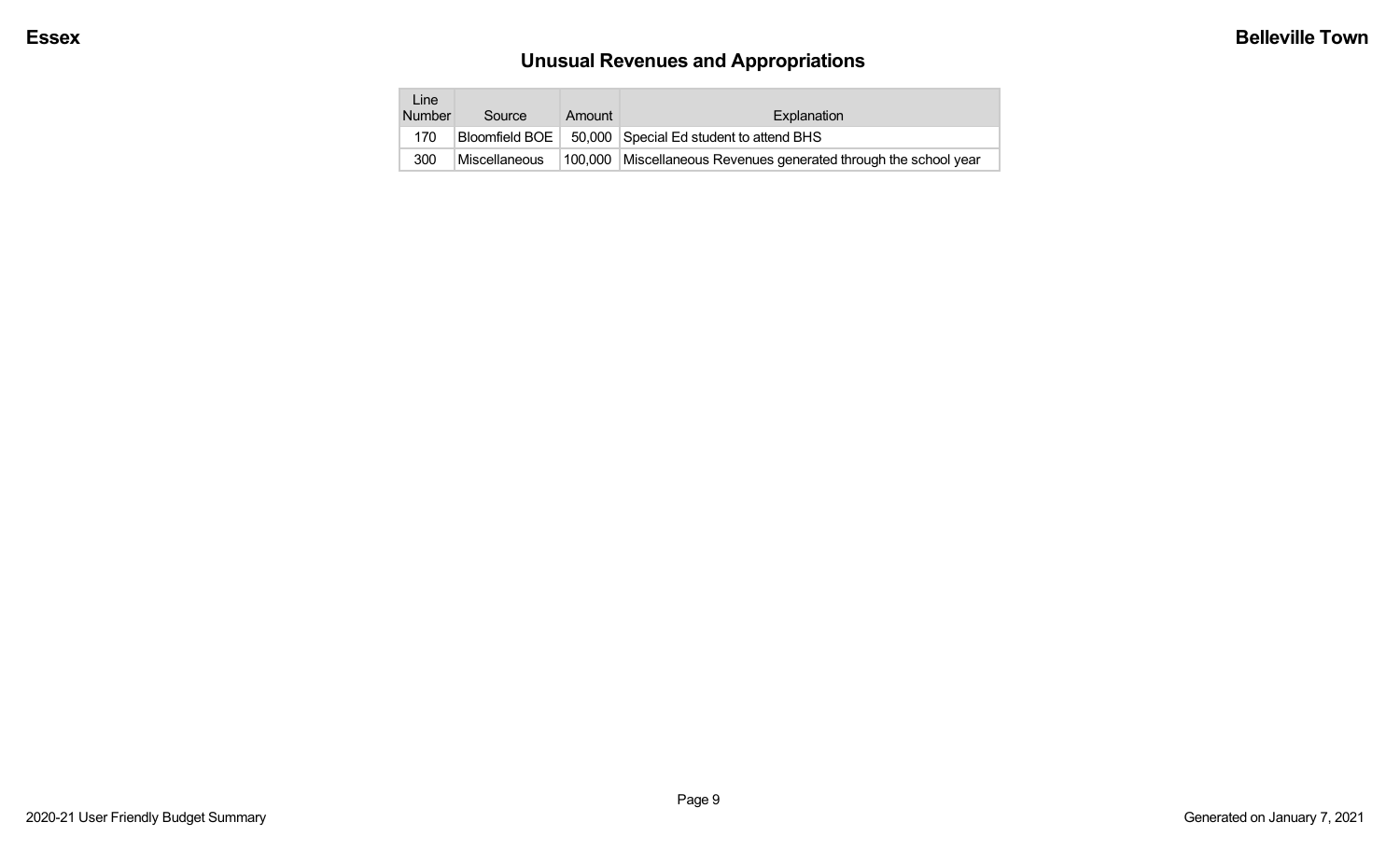# **Unusual Revenues and Appropriations**

| Line<br><b>Number</b> | Source        | Amount  | Explanation                                              |
|-----------------------|---------------|---------|----------------------------------------------------------|
| 170                   |               |         | Bloomfield BOE   50,000 Special Ed student to attend BHS |
| 300                   | Miscellaneous | 100,000 | Miscellaneous Revenues generated through the school year |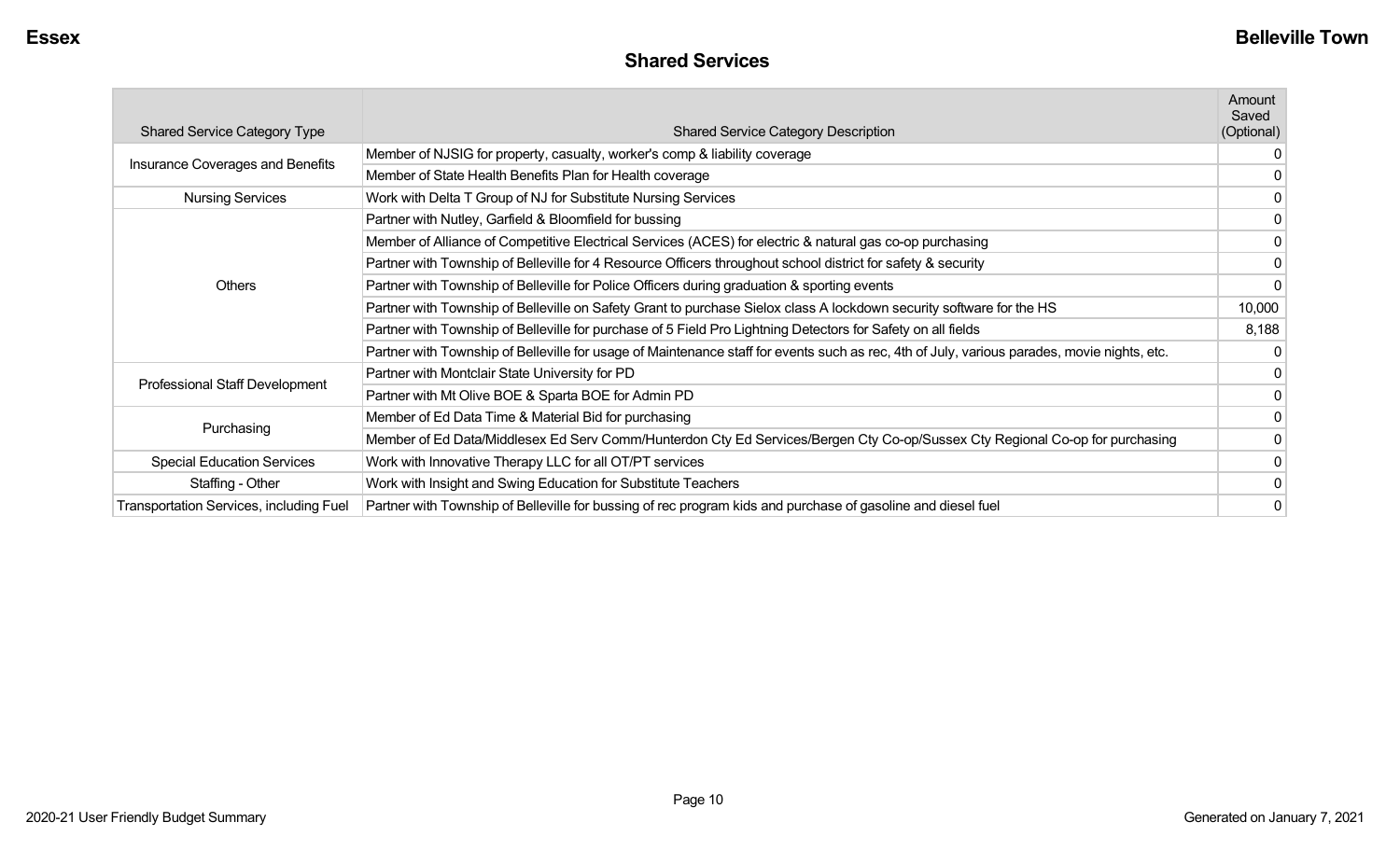| <b>Shared Services</b> |  |
|------------------------|--|
|------------------------|--|

|                                         |                                                                                                                                             | Amount<br>Saved |
|-----------------------------------------|---------------------------------------------------------------------------------------------------------------------------------------------|-----------------|
| <b>Shared Service Category Type</b>     | <b>Shared Service Category Description</b>                                                                                                  | (Optional)      |
|                                         | Member of NJSIG for property, casualty, worker's comp & liability coverage                                                                  | 0               |
| Insurance Coverages and Benefits        | Member of State Health Benefits Plan for Health coverage                                                                                    |                 |
| <b>Nursing Services</b>                 | Work with Delta T Group of NJ for Substitute Nursing Services                                                                               |                 |
|                                         | Partner with Nutley, Garfield & Bloomfield for bussing                                                                                      |                 |
|                                         | Member of Alliance of Competitive Electrical Services (ACES) for electric & natural gas co-op purchasing                                    | 0               |
|                                         | Partner with Township of Belleville for 4 Resource Officers throughout school district for safety & security                                | 0               |
| <b>Others</b>                           | Partner with Township of Belleville for Police Officers during graduation & sporting events                                                 | 0               |
|                                         | Partner with Township of Belleville on Safety Grant to purchase Sielox class A lockdown security software for the HS                        | 10,000          |
|                                         | Partner with Township of Belleville for purchase of 5 Field Pro Lightning Detectors for Safety on all fields                                | 8,188           |
|                                         | Partner with Township of Belleville for usage of Maintenance staff for events such as rec, 4th of July, various parades, movie nights, etc. |                 |
|                                         | Partner with Montclair State University for PD                                                                                              |                 |
| Professional Staff Development          | Partner with Mt Olive BOE & Sparta BOE for Admin PD                                                                                         |                 |
|                                         | Member of Ed Data Time & Material Bid for purchasing                                                                                        | 0               |
| Purchasing                              | Member of Ed Data/Middlesex Ed Serv Comm/Hunterdon Cty Ed Services/Bergen Cty Co-op/Sussex Cty Regional Co-op for purchasing                | 0               |
| <b>Special Education Services</b>       | Work with Innovative Therapy LLC for all OT/PT services                                                                                     | 0               |
| Staffing - Other                        | Work with Insight and Swing Education for Substitute Teachers                                                                               |                 |
| Transportation Services, including Fuel | Partner with Township of Belleville for bussing of rec program kids and purchase of gasoline and diesel fuel                                |                 |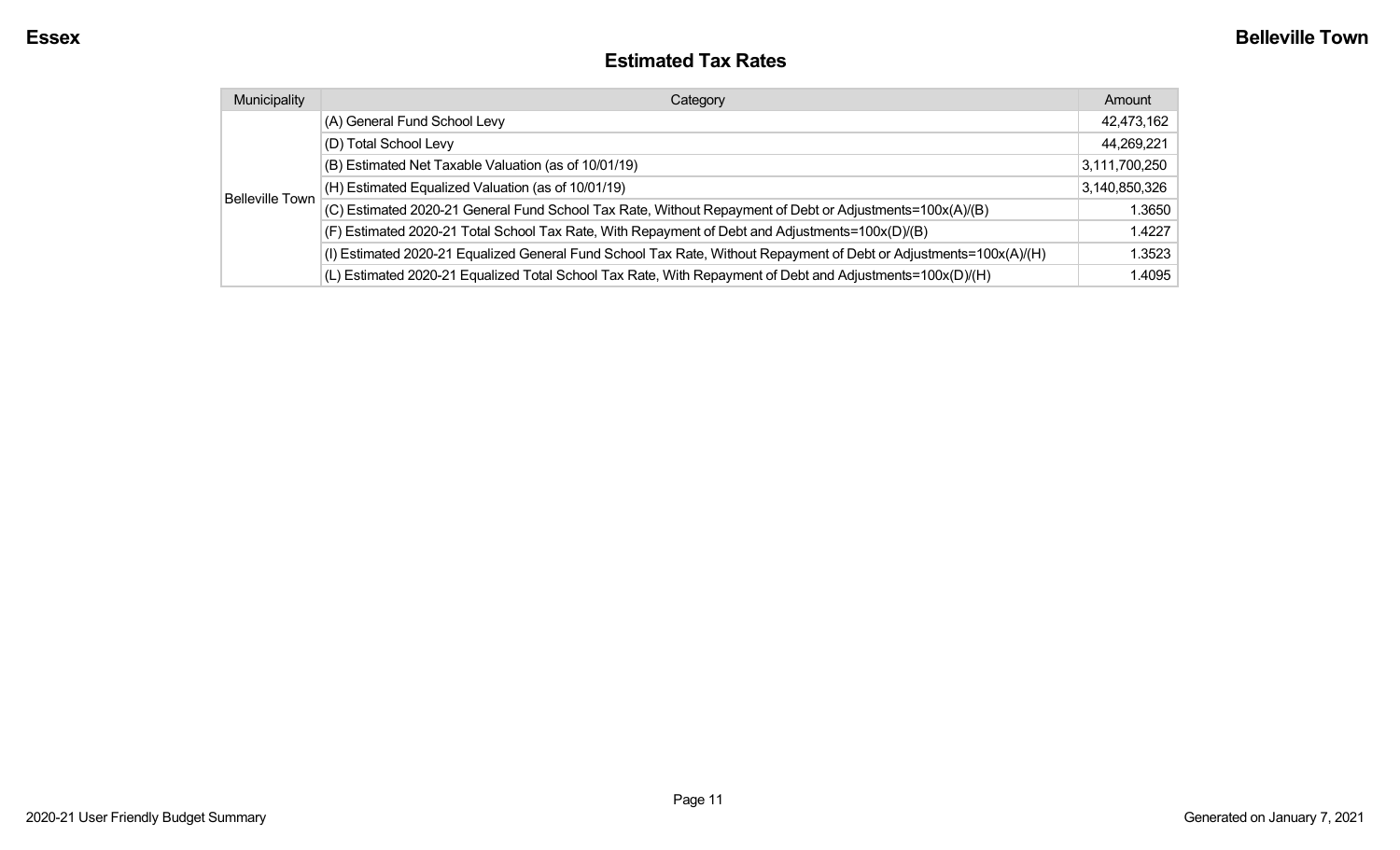#### **Estimated Tax Rates**

| Municipality           | Category                                                                                                           | Amount        |
|------------------------|--------------------------------------------------------------------------------------------------------------------|---------------|
| <b>Belleville Town</b> | (A) General Fund School Levy                                                                                       | 42,473,162    |
|                        | (D) Total School Levy                                                                                              | 44,269,221    |
|                        | (B) Estimated Net Taxable Valuation (as of 10/01/19)                                                               | 3,111,700,250 |
|                        | (H) Estimated Equalized Valuation (as of 10/01/19)                                                                 | 3,140,850,326 |
|                        | (C) Estimated 2020-21 General Fund School Tax Rate, Without Repayment of Debt or Adjustments=100x(A)/(B)           | 1.3650        |
|                        | (F) Estimated 2020-21 Total School Tax Rate, With Repayment of Debt and Adjustments=100x(D)/(B)                    | 1.4227        |
|                        | (I) Estimated 2020-21 Equalized General Fund School Tax Rate, Without Repayment of Debt or Adjustments=100x(A)/(H) | 1.3523        |
|                        | (L) Estimated 2020-21 Equalized Total School Tax Rate, With Repayment of Debt and Adjustments=100x(D)/(H)          | 1.4095        |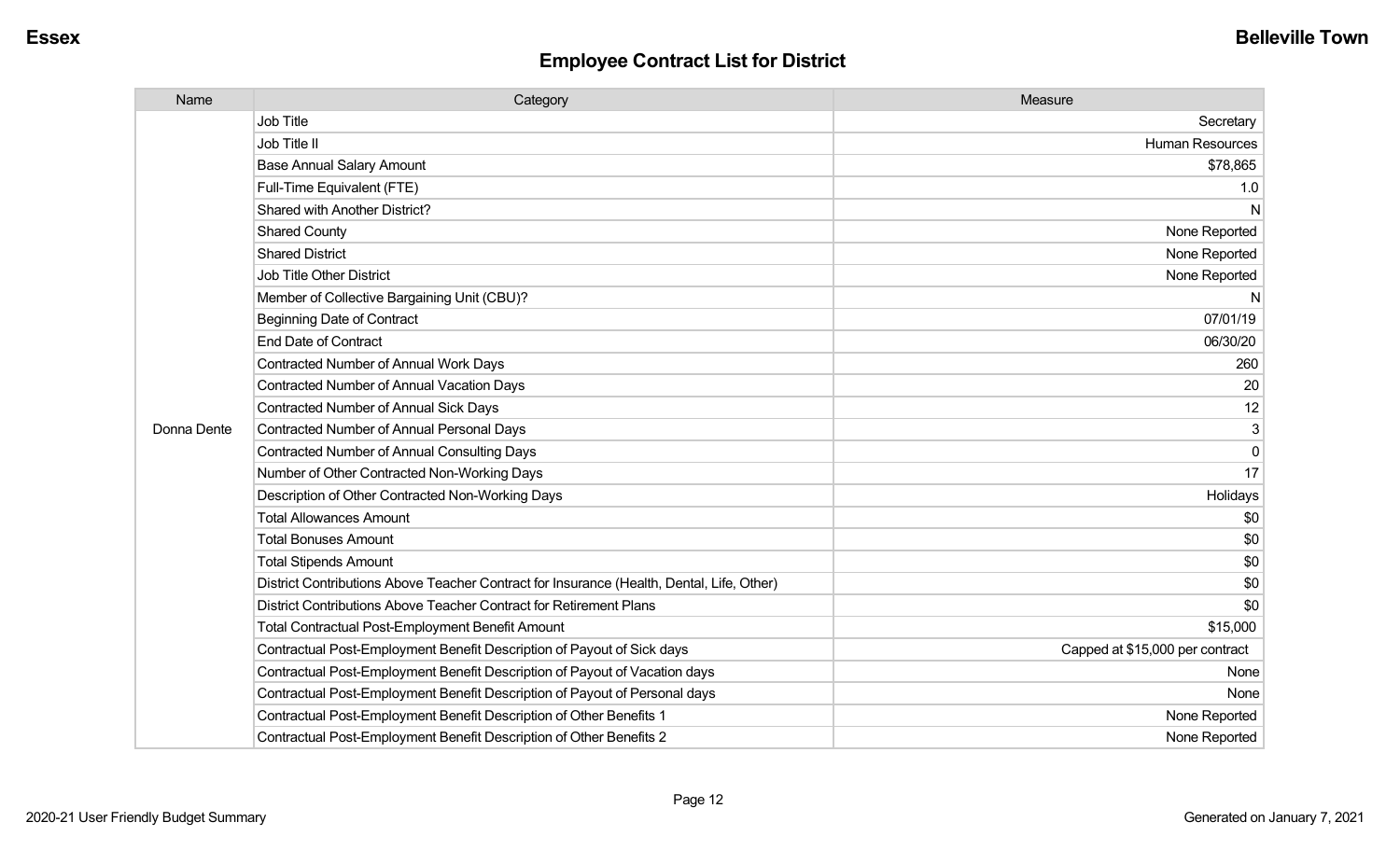| Name        | Category                                                                                  | Measure                         |
|-------------|-------------------------------------------------------------------------------------------|---------------------------------|
|             | <b>Job Title</b>                                                                          | Secretary                       |
|             | Job Title II                                                                              | Human Resources                 |
|             | <b>Base Annual Salary Amount</b>                                                          | \$78,865                        |
|             | Full-Time Equivalent (FTE)                                                                | 1.0                             |
|             | Shared with Another District?                                                             | N                               |
|             | <b>Shared County</b>                                                                      | None Reported                   |
|             | <b>Shared District</b>                                                                    | None Reported                   |
|             | Job Title Other District                                                                  | None Reported                   |
|             | Member of Collective Bargaining Unit (CBU)?                                               | N                               |
|             | <b>Beginning Date of Contract</b>                                                         | 07/01/19                        |
|             | <b>End Date of Contract</b>                                                               | 06/30/20                        |
|             | <b>Contracted Number of Annual Work Days</b>                                              | 260                             |
|             | <b>Contracted Number of Annual Vacation Days</b>                                          | 20                              |
|             | <b>Contracted Number of Annual Sick Days</b>                                              | 12                              |
| Donna Dente | <b>Contracted Number of Annual Personal Days</b>                                          | $\mathbf{3}$                    |
|             | <b>Contracted Number of Annual Consulting Days</b>                                        | $\mathbf 0$                     |
|             | Number of Other Contracted Non-Working Days                                               | 17                              |
|             | Description of Other Contracted Non-Working Days                                          | Holidays                        |
|             | <b>Total Allowances Amount</b>                                                            | \$0                             |
|             | <b>Total Bonuses Amount</b>                                                               | \$0                             |
|             | <b>Total Stipends Amount</b>                                                              | \$0                             |
|             | District Contributions Above Teacher Contract for Insurance (Health, Dental, Life, Other) | \$0                             |
|             | District Contributions Above Teacher Contract for Retirement Plans                        | \$0                             |
|             | <b>Total Contractual Post-Employment Benefit Amount</b>                                   | \$15,000                        |
|             | Contractual Post-Employment Benefit Description of Payout of Sick days                    | Capped at \$15,000 per contract |
|             | Contractual Post-Employment Benefit Description of Payout of Vacation days                | None                            |
|             | Contractual Post-Employment Benefit Description of Payout of Personal days                | None                            |
|             | Contractual Post-Employment Benefit Description of Other Benefits 1                       | None Reported                   |
|             | Contractual Post-Employment Benefit Description of Other Benefits 2                       | None Reported                   |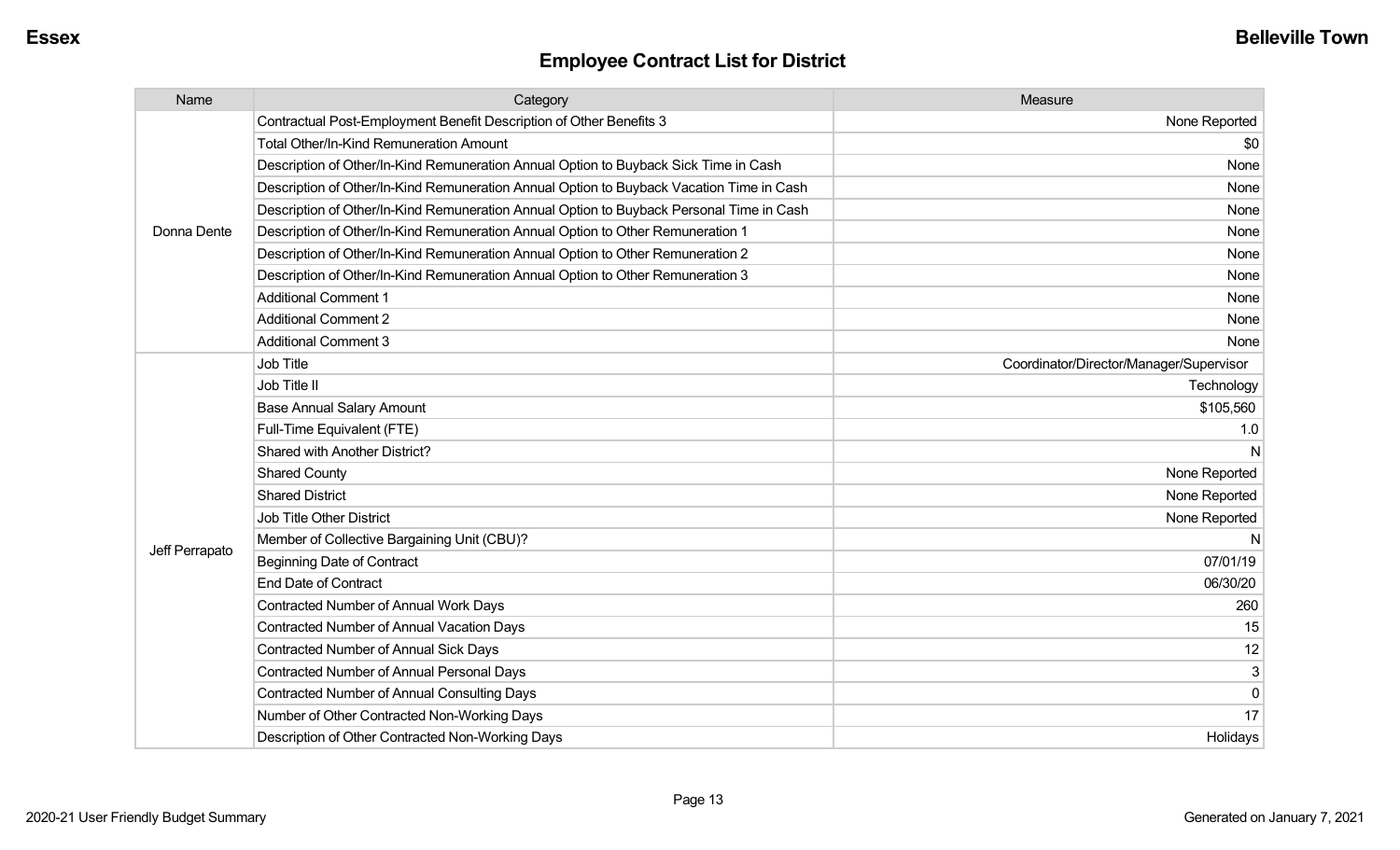| Name           | Category                                                                                 | Measure                                 |
|----------------|------------------------------------------------------------------------------------------|-----------------------------------------|
|                | Contractual Post-Employment Benefit Description of Other Benefits 3                      | None Reported                           |
|                | <b>Total Other/In-Kind Remuneration Amount</b>                                           | \$0                                     |
|                | Description of Other/In-Kind Remuneration Annual Option to Buyback Sick Time in Cash     | None                                    |
|                | Description of Other/In-Kind Remuneration Annual Option to Buyback Vacation Time in Cash | None                                    |
|                | Description of Other/In-Kind Remuneration Annual Option to Buyback Personal Time in Cash | None                                    |
| Donna Dente    | Description of Other/In-Kind Remuneration Annual Option to Other Remuneration 1          | None                                    |
|                | Description of Other/In-Kind Remuneration Annual Option to Other Remuneration 2          | None                                    |
|                | Description of Other/In-Kind Remuneration Annual Option to Other Remuneration 3          | None                                    |
|                | <b>Additional Comment 1</b>                                                              | None                                    |
|                | <b>Additional Comment 2</b>                                                              | None                                    |
|                | <b>Additional Comment 3</b>                                                              | None                                    |
|                | Job Title                                                                                | Coordinator/Director/Manager/Supervisor |
|                | Job Title II                                                                             | Technology                              |
|                | <b>Base Annual Salary Amount</b>                                                         | \$105,560                               |
|                | Full-Time Equivalent (FTE)                                                               | 1.0                                     |
|                | Shared with Another District?                                                            | N                                       |
|                | <b>Shared County</b>                                                                     | None Reported                           |
|                | <b>Shared District</b>                                                                   | None Reported                           |
|                | Job Title Other District                                                                 | None Reported                           |
|                | Member of Collective Bargaining Unit (CBU)?                                              | N                                       |
| Jeff Perrapato | Beginning Date of Contract                                                               | 07/01/19                                |
|                | <b>End Date of Contract</b>                                                              | 06/30/20                                |
|                | <b>Contracted Number of Annual Work Days</b>                                             | 260                                     |
|                | <b>Contracted Number of Annual Vacation Days</b>                                         | 15                                      |
|                | <b>Contracted Number of Annual Sick Days</b>                                             | 12                                      |
|                | Contracted Number of Annual Personal Days                                                | $\mathbf{3}$                            |
|                | <b>Contracted Number of Annual Consulting Days</b>                                       | $\Omega$                                |
|                | Number of Other Contracted Non-Working Days                                              | 17                                      |
|                | Description of Other Contracted Non-Working Days                                         | Holidays                                |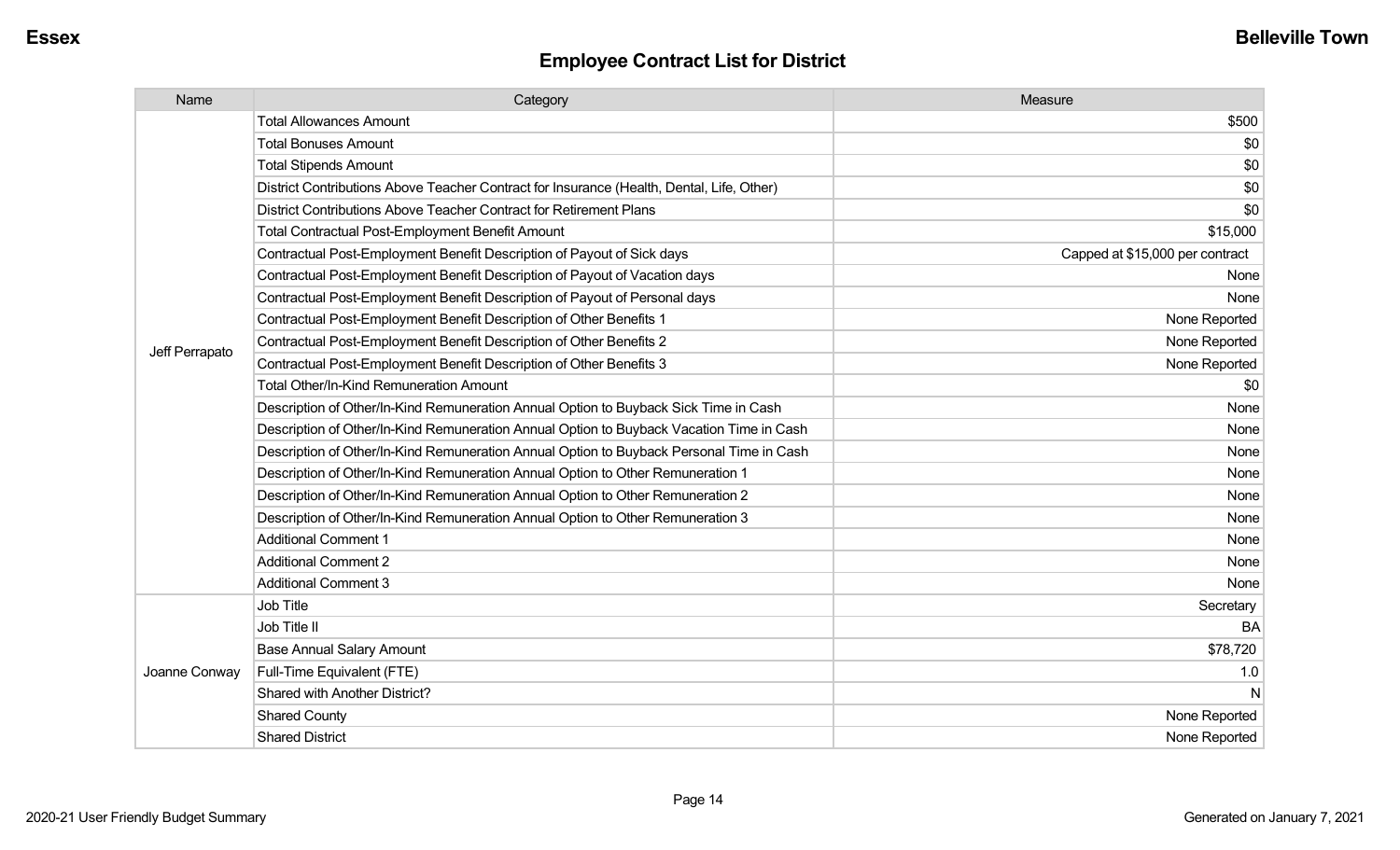| Name           | Category                                                                                  | Measure                         |
|----------------|-------------------------------------------------------------------------------------------|---------------------------------|
|                | <b>Total Allowances Amount</b>                                                            | \$500                           |
|                | <b>Total Bonuses Amount</b>                                                               | \$0                             |
|                | <b>Total Stipends Amount</b>                                                              | \$0                             |
|                | District Contributions Above Teacher Contract for Insurance (Health, Dental, Life, Other) | \$0                             |
|                | District Contributions Above Teacher Contract for Retirement Plans                        | \$0                             |
|                | Total Contractual Post-Employment Benefit Amount                                          | \$15,000                        |
|                | Contractual Post-Employment Benefit Description of Payout of Sick days                    | Capped at \$15,000 per contract |
|                | Contractual Post-Employment Benefit Description of Payout of Vacation days                | None                            |
|                | Contractual Post-Employment Benefit Description of Payout of Personal days                | None                            |
|                | Contractual Post-Employment Benefit Description of Other Benefits 1                       | None Reported                   |
| Jeff Perrapato | Contractual Post-Employment Benefit Description of Other Benefits 2                       | None Reported                   |
|                | Contractual Post-Employment Benefit Description of Other Benefits 3                       | None Reported                   |
|                | <b>Total Other/In-Kind Remuneration Amount</b>                                            | \$0                             |
|                | Description of Other/In-Kind Remuneration Annual Option to Buyback Sick Time in Cash      | None                            |
|                | Description of Other/In-Kind Remuneration Annual Option to Buyback Vacation Time in Cash  | None                            |
|                | Description of Other/In-Kind Remuneration Annual Option to Buyback Personal Time in Cash  | None                            |
|                | Description of Other/In-Kind Remuneration Annual Option to Other Remuneration 1           | None                            |
|                | Description of Other/In-Kind Remuneration Annual Option to Other Remuneration 2           | None                            |
|                | Description of Other/In-Kind Remuneration Annual Option to Other Remuneration 3           | None                            |
|                | <b>Additional Comment 1</b>                                                               | None                            |
|                | <b>Additional Comment 2</b>                                                               | None                            |
|                | <b>Additional Comment 3</b>                                                               | None                            |
|                | Job Title                                                                                 | Secretary                       |
|                | Job Title II                                                                              | <b>BA</b>                       |
| Joanne Conway  | <b>Base Annual Salary Amount</b>                                                          | \$78,720                        |
|                | Full-Time Equivalent (FTE)                                                                | 1.0                             |
|                | Shared with Another District?                                                             | N                               |
|                | <b>Shared County</b>                                                                      | None Reported                   |
|                | <b>Shared District</b>                                                                    | None Reported                   |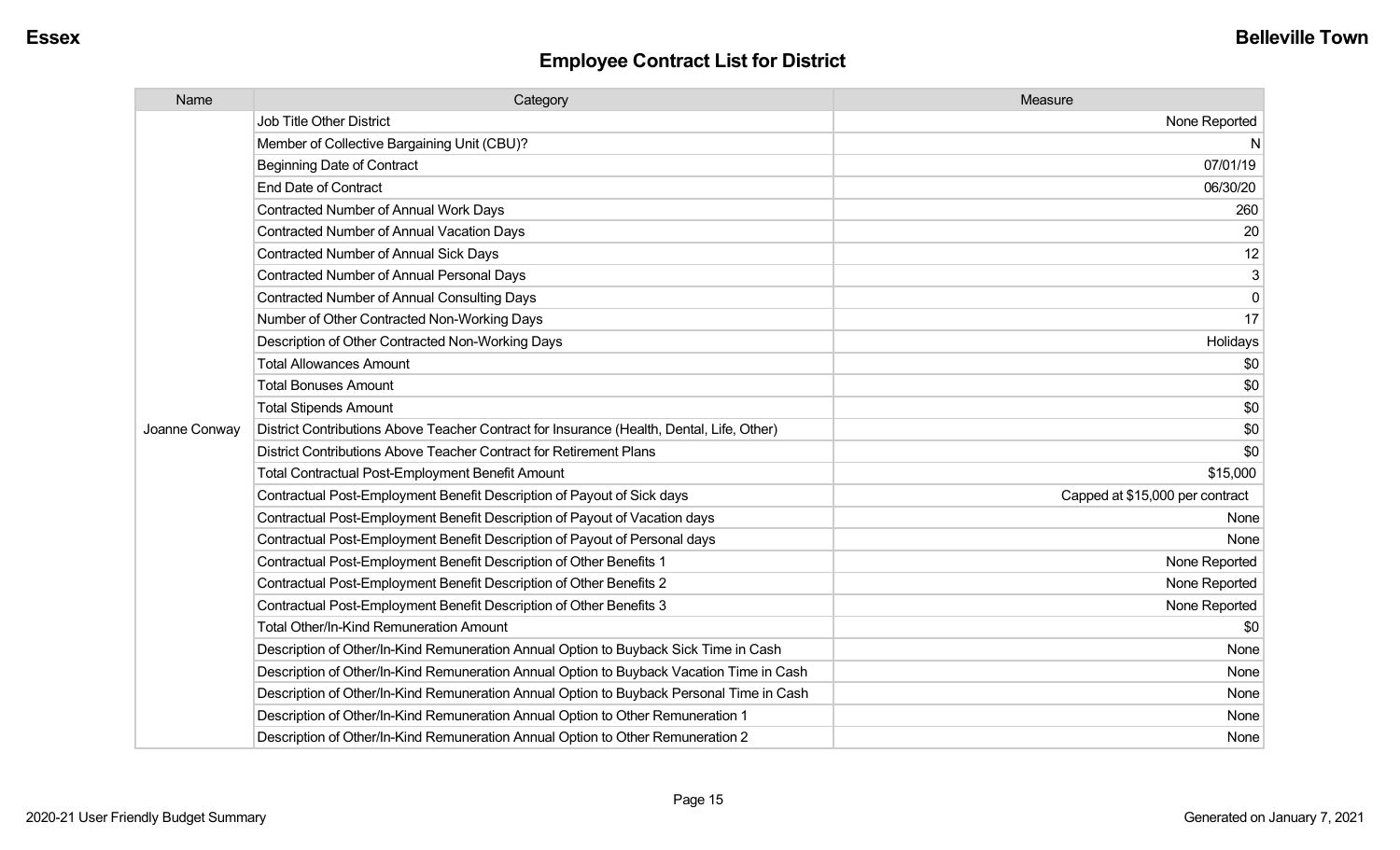| Name          | Category                                                                                  | Measure                         |
|---------------|-------------------------------------------------------------------------------------------|---------------------------------|
|               | <b>Job Title Other District</b>                                                           | None Reported                   |
|               | Member of Collective Bargaining Unit (CBU)?                                               | N                               |
|               | <b>Beginning Date of Contract</b>                                                         | 07/01/19                        |
|               | <b>End Date of Contract</b>                                                               | 06/30/20                        |
|               | <b>Contracted Number of Annual Work Days</b>                                              | 260                             |
|               | <b>Contracted Number of Annual Vacation Days</b>                                          | 20                              |
|               | <b>Contracted Number of Annual Sick Days</b>                                              | 12                              |
|               | <b>Contracted Number of Annual Personal Days</b>                                          | 3                               |
|               | <b>Contracted Number of Annual Consulting Days</b>                                        | $\Omega$                        |
|               | Number of Other Contracted Non-Working Days                                               | 17                              |
|               | Description of Other Contracted Non-Working Days                                          | Holidays                        |
|               | <b>Total Allowances Amount</b>                                                            | \$0                             |
|               | <b>Total Bonuses Amount</b>                                                               | \$0                             |
|               | <b>Total Stipends Amount</b>                                                              | \$0                             |
| Joanne Conway | District Contributions Above Teacher Contract for Insurance (Health, Dental, Life, Other) | \$0                             |
|               | District Contributions Above Teacher Contract for Retirement Plans                        | \$0                             |
|               | <b>Total Contractual Post-Employment Benefit Amount</b>                                   | \$15,000                        |
|               | Contractual Post-Employment Benefit Description of Payout of Sick days                    | Capped at \$15,000 per contract |
|               | Contractual Post-Employment Benefit Description of Payout of Vacation days                | None                            |
|               | Contractual Post-Employment Benefit Description of Payout of Personal days                | None                            |
|               | Contractual Post-Employment Benefit Description of Other Benefits 1                       | None Reported                   |
|               | Contractual Post-Employment Benefit Description of Other Benefits 2                       | None Reported                   |
|               | Contractual Post-Employment Benefit Description of Other Benefits 3                       | None Reported                   |
|               | Total Other/In-Kind Remuneration Amount                                                   | \$0                             |
|               | Description of Other/In-Kind Remuneration Annual Option to Buyback Sick Time in Cash      | None                            |
|               | Description of Other/In-Kind Remuneration Annual Option to Buyback Vacation Time in Cash  | None                            |
|               | Description of Other/In-Kind Remuneration Annual Option to Buyback Personal Time in Cash  | None                            |
|               | Description of Other/In-Kind Remuneration Annual Option to Other Remuneration 1           | None                            |
|               | Description of Other/In-Kind Remuneration Annual Option to Other Remuneration 2           | None                            |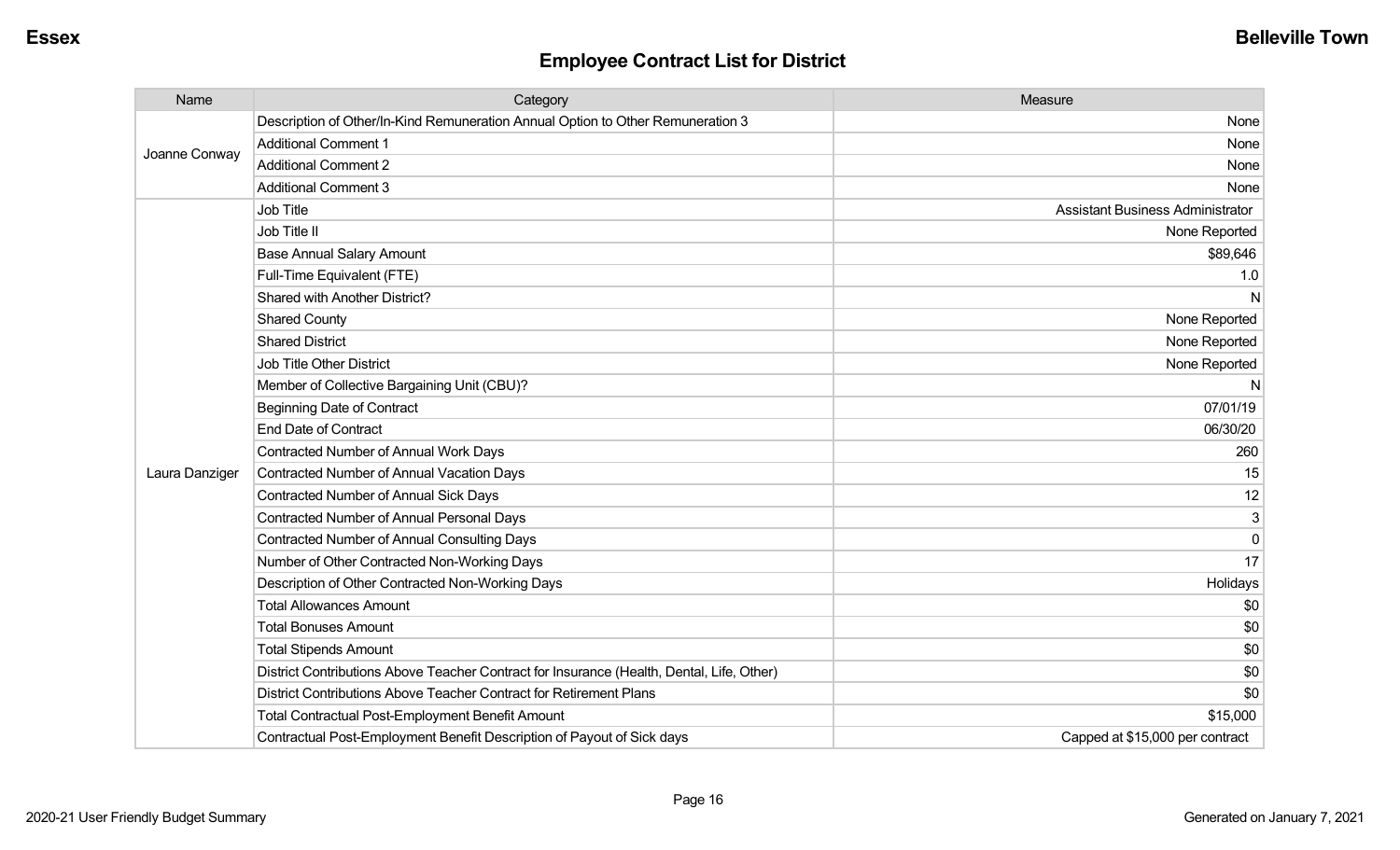| Name           | Category                                                                                  | Measure                                 |
|----------------|-------------------------------------------------------------------------------------------|-----------------------------------------|
| Joanne Conway  | Description of Other/In-Kind Remuneration Annual Option to Other Remuneration 3           | None                                    |
|                | <b>Additional Comment 1</b>                                                               | None                                    |
|                | <b>Additional Comment 2</b>                                                               | None                                    |
|                | <b>Additional Comment 3</b>                                                               | None                                    |
|                | Job Title                                                                                 | <b>Assistant Business Administrator</b> |
|                | Job Title II                                                                              | None Reported                           |
|                | <b>Base Annual Salary Amount</b>                                                          | \$89,646                                |
|                | Full-Time Equivalent (FTE)                                                                | 1.0                                     |
|                | Shared with Another District?                                                             | N                                       |
|                | <b>Shared County</b>                                                                      | None Reported                           |
|                | <b>Shared District</b>                                                                    | None Reported                           |
|                | <b>Job Title Other District</b>                                                           | None Reported                           |
|                | Member of Collective Bargaining Unit (CBU)?                                               | N                                       |
|                | <b>Beginning Date of Contract</b>                                                         | 07/01/19                                |
|                | <b>End Date of Contract</b>                                                               | 06/30/20                                |
|                | <b>Contracted Number of Annual Work Days</b>                                              | 260                                     |
| Laura Danziger | <b>Contracted Number of Annual Vacation Days</b>                                          | 15                                      |
|                | Contracted Number of Annual Sick Days                                                     | 12                                      |
|                | <b>Contracted Number of Annual Personal Days</b>                                          | 3                                       |
|                | <b>Contracted Number of Annual Consulting Days</b>                                        | $\Omega$                                |
|                | Number of Other Contracted Non-Working Days                                               | 17                                      |
|                | Description of Other Contracted Non-Working Days                                          | Holidays                                |
|                | <b>Total Allowances Amount</b>                                                            | \$0                                     |
|                | <b>Total Bonuses Amount</b>                                                               | \$0                                     |
|                | <b>Total Stipends Amount</b>                                                              | \$0                                     |
|                | District Contributions Above Teacher Contract for Insurance (Health, Dental, Life, Other) | \$0                                     |
|                | District Contributions Above Teacher Contract for Retirement Plans                        | \$0                                     |
|                | <b>Total Contractual Post-Employment Benefit Amount</b>                                   | \$15,000                                |
|                | Contractual Post-Employment Benefit Description of Payout of Sick days                    | Capped at \$15,000 per contract         |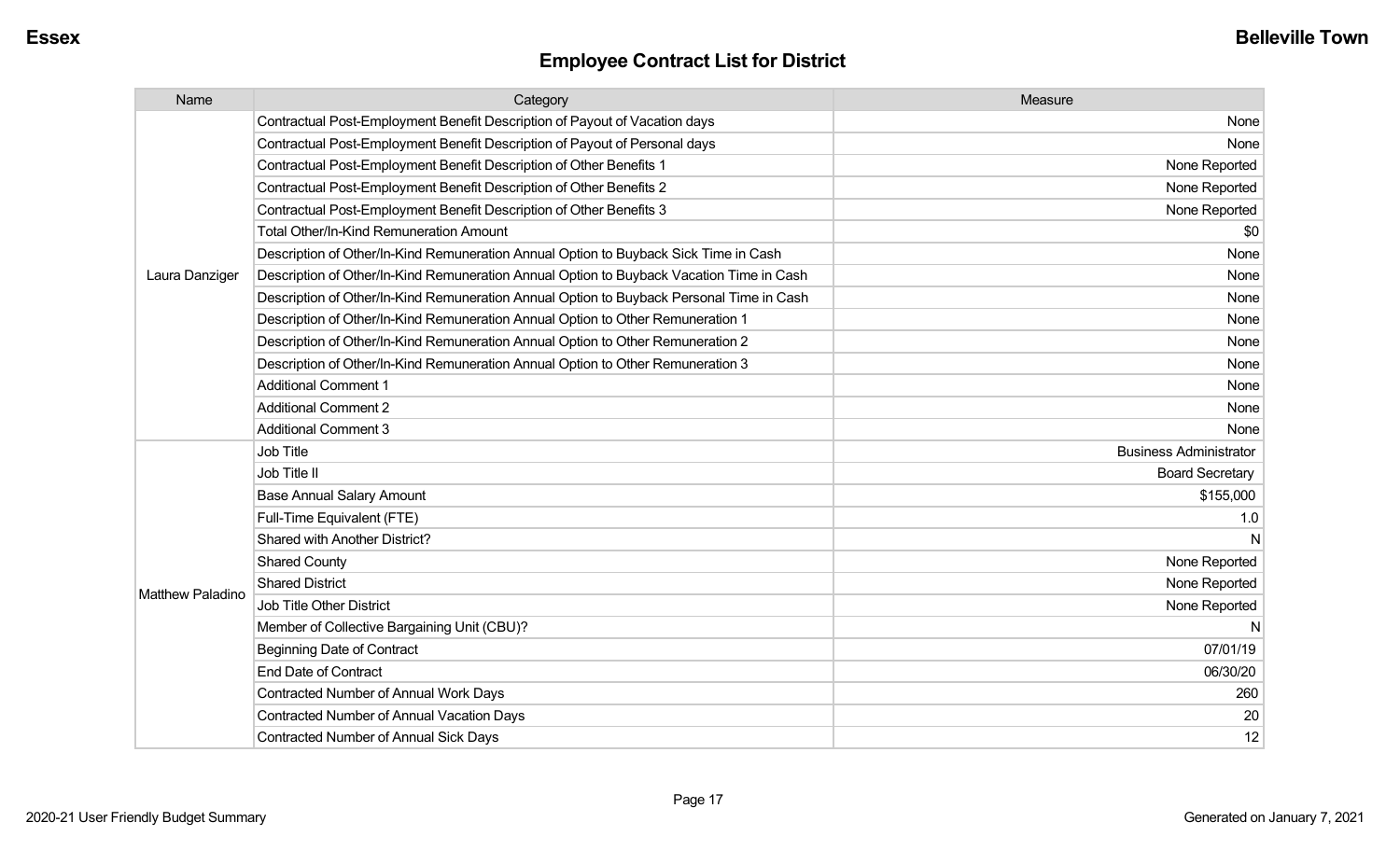| Name                    | Category                                                                                 | Measure                       |
|-------------------------|------------------------------------------------------------------------------------------|-------------------------------|
|                         | Contractual Post-Employment Benefit Description of Payout of Vacation days               | None                          |
|                         | Contractual Post-Employment Benefit Description of Payout of Personal days               | None                          |
|                         | Contractual Post-Employment Benefit Description of Other Benefits 1                      | None Reported                 |
|                         | Contractual Post-Employment Benefit Description of Other Benefits 2                      | None Reported                 |
|                         | Contractual Post-Employment Benefit Description of Other Benefits 3                      | None Reported                 |
|                         | Total Other/In-Kind Remuneration Amount                                                  | \$0                           |
|                         | Description of Other/In-Kind Remuneration Annual Option to Buyback Sick Time in Cash     | None                          |
| Laura Danziger          | Description of Other/In-Kind Remuneration Annual Option to Buyback Vacation Time in Cash | None                          |
|                         | Description of Other/In-Kind Remuneration Annual Option to Buyback Personal Time in Cash | None                          |
|                         | Description of Other/In-Kind Remuneration Annual Option to Other Remuneration 1          | None                          |
|                         | Description of Other/In-Kind Remuneration Annual Option to Other Remuneration 2          | None                          |
|                         | Description of Other/In-Kind Remuneration Annual Option to Other Remuneration 3          | None                          |
|                         | <b>Additional Comment 1</b>                                                              | None                          |
|                         | <b>Additional Comment 2</b>                                                              | None                          |
|                         | <b>Additional Comment 3</b>                                                              | None                          |
|                         | Job Title                                                                                | <b>Business Administrator</b> |
|                         | Job Title II                                                                             | <b>Board Secretary</b>        |
|                         | <b>Base Annual Salary Amount</b>                                                         | \$155,000                     |
|                         | Full-Time Equivalent (FTE)                                                               | 1.0                           |
|                         | Shared with Another District?                                                            | <sub>N</sub>                  |
|                         | <b>Shared County</b>                                                                     | None Reported                 |
| <b>Matthew Paladino</b> | <b>Shared District</b>                                                                   | None Reported                 |
|                         | <b>Job Title Other District</b>                                                          | None Reported                 |
|                         | Member of Collective Bargaining Unit (CBU)?                                              | <sub>N</sub>                  |
|                         | <b>Beginning Date of Contract</b>                                                        | 07/01/19                      |
|                         | <b>End Date of Contract</b>                                                              | 06/30/20                      |
|                         | Contracted Number of Annual Work Days                                                    | 260                           |
|                         | <b>Contracted Number of Annual Vacation Days</b>                                         | 20                            |
|                         | Contracted Number of Annual Sick Days                                                    | 12                            |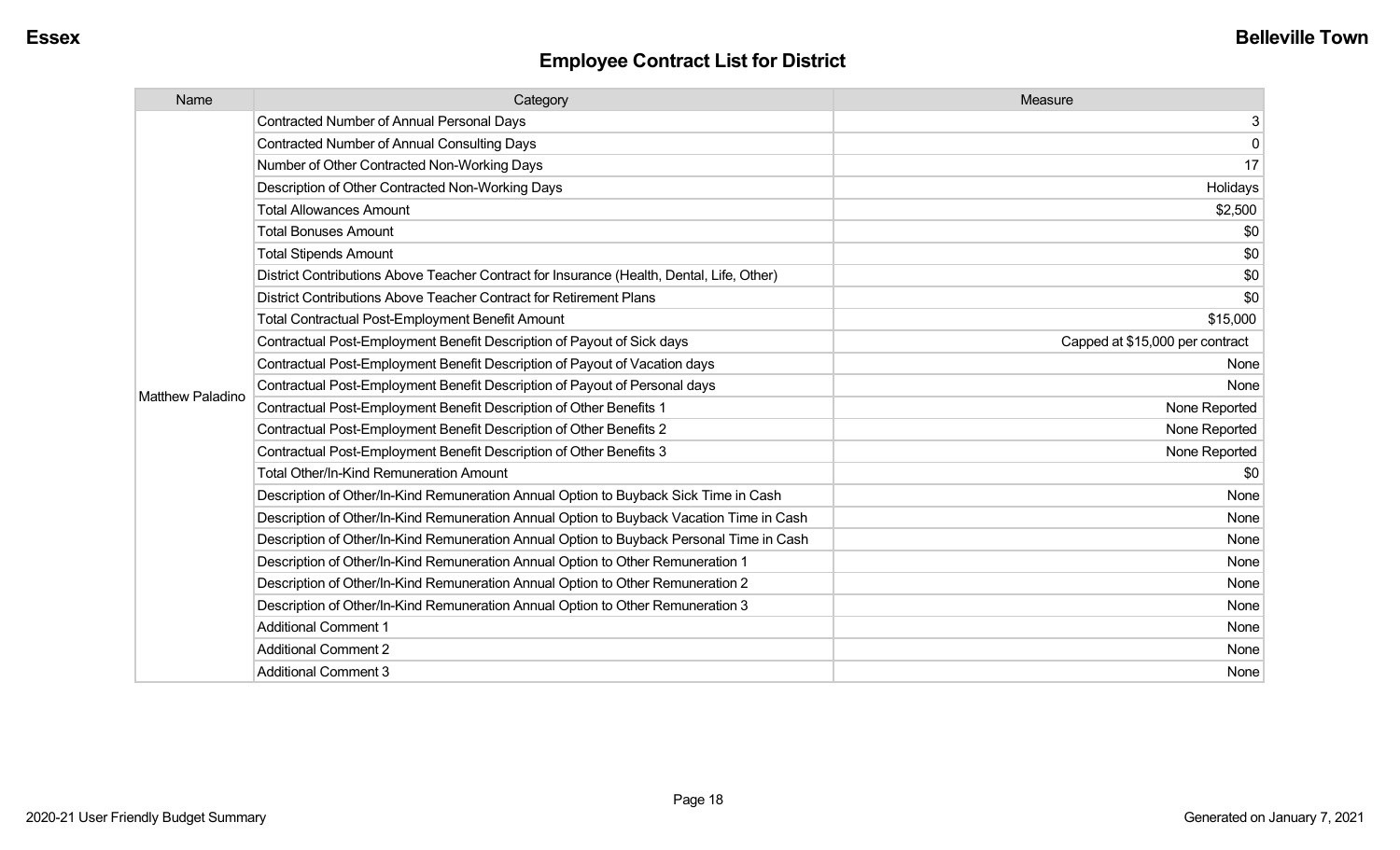| Name                    | Category                                                                                  | Measure                         |
|-------------------------|-------------------------------------------------------------------------------------------|---------------------------------|
|                         | <b>Contracted Number of Annual Personal Days</b>                                          | 3                               |
|                         | <b>Contracted Number of Annual Consulting Days</b>                                        | $\mathbf 0$                     |
|                         | Number of Other Contracted Non-Working Days                                               | 17                              |
|                         | Description of Other Contracted Non-Working Days                                          | Holidays                        |
|                         | <b>Total Allowances Amount</b>                                                            | \$2,500                         |
|                         | <b>Total Bonuses Amount</b>                                                               | \$0                             |
|                         | <b>Total Stipends Amount</b>                                                              | \$0                             |
|                         | District Contributions Above Teacher Contract for Insurance (Health, Dental, Life, Other) | \$0                             |
|                         | District Contributions Above Teacher Contract for Retirement Plans                        | \$0                             |
|                         | <b>Total Contractual Post-Employment Benefit Amount</b>                                   | \$15,000                        |
|                         | Contractual Post-Employment Benefit Description of Payout of Sick days                    | Capped at \$15,000 per contract |
|                         | Contractual Post-Employment Benefit Description of Payout of Vacation days                | None                            |
| <b>Matthew Paladino</b> | Contractual Post-Employment Benefit Description of Payout of Personal days                | None                            |
|                         | Contractual Post-Employment Benefit Description of Other Benefits 1                       | None Reported                   |
|                         | Contractual Post-Employment Benefit Description of Other Benefits 2                       | None Reported                   |
|                         | Contractual Post-Employment Benefit Description of Other Benefits 3                       | None Reported                   |
|                         | <b>Total Other/In-Kind Remuneration Amount</b>                                            | \$0                             |
|                         | Description of Other/In-Kind Remuneration Annual Option to Buyback Sick Time in Cash      | None                            |
|                         | Description of Other/In-Kind Remuneration Annual Option to Buyback Vacation Time in Cash  | None                            |
|                         | Description of Other/In-Kind Remuneration Annual Option to Buyback Personal Time in Cash  | None                            |
|                         | Description of Other/In-Kind Remuneration Annual Option to Other Remuneration 1           | None                            |
|                         | Description of Other/In-Kind Remuneration Annual Option to Other Remuneration 2           | None                            |
|                         | Description of Other/In-Kind Remuneration Annual Option to Other Remuneration 3           | None                            |
|                         | <b>Additional Comment 1</b>                                                               | None                            |
|                         | <b>Additional Comment 2</b>                                                               | None                            |
|                         | <b>Additional Comment 3</b>                                                               | None                            |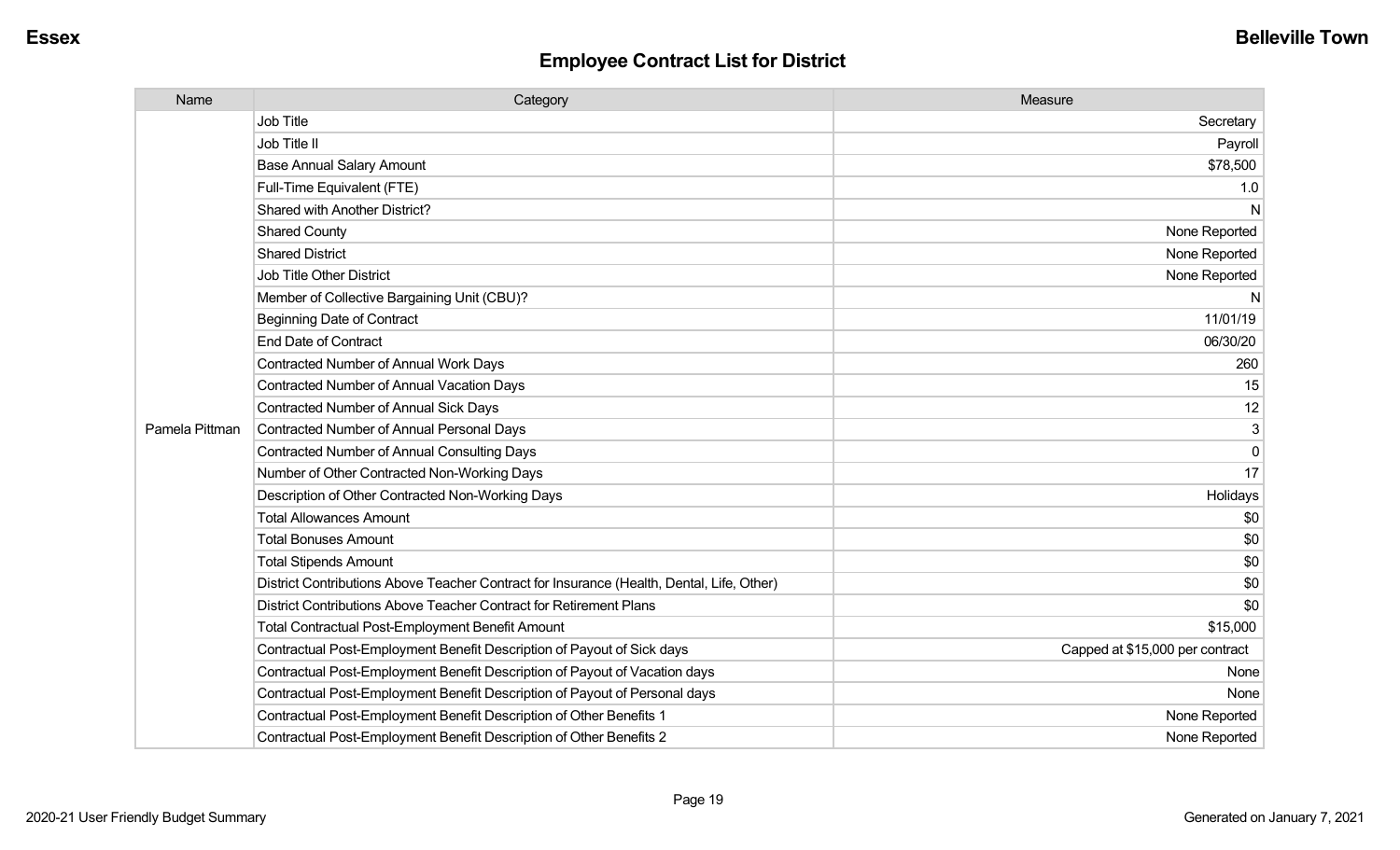| Name           | Category                                                                                  | Measure                         |
|----------------|-------------------------------------------------------------------------------------------|---------------------------------|
|                | Job Title                                                                                 | Secretary                       |
|                | Job Title II                                                                              | Payroll                         |
|                | <b>Base Annual Salary Amount</b>                                                          | \$78,500                        |
|                | Full-Time Equivalent (FTE)                                                                | 1.0                             |
|                | Shared with Another District?                                                             | N                               |
|                | <b>Shared County</b>                                                                      | None Reported                   |
|                | <b>Shared District</b>                                                                    | None Reported                   |
|                | <b>Job Title Other District</b>                                                           | None Reported                   |
|                | Member of Collective Bargaining Unit (CBU)?                                               | N                               |
|                | <b>Beginning Date of Contract</b>                                                         | 11/01/19                        |
|                | End Date of Contract                                                                      | 06/30/20                        |
|                | <b>Contracted Number of Annual Work Days</b>                                              | 260                             |
|                | Contracted Number of Annual Vacation Days                                                 | 15                              |
|                | <b>Contracted Number of Annual Sick Days</b>                                              | 12                              |
| Pamela Pittman | Contracted Number of Annual Personal Days                                                 | 3                               |
|                | <b>Contracted Number of Annual Consulting Days</b>                                        | $\mathbf{0}$                    |
|                | Number of Other Contracted Non-Working Days                                               | 17                              |
|                | Description of Other Contracted Non-Working Days                                          | Holidays                        |
|                | <b>Total Allowances Amount</b>                                                            | \$0                             |
|                | <b>Total Bonuses Amount</b>                                                               | \$0                             |
|                | <b>Total Stipends Amount</b>                                                              | \$0                             |
|                | District Contributions Above Teacher Contract for Insurance (Health, Dental, Life, Other) | \$0                             |
|                | District Contributions Above Teacher Contract for Retirement Plans                        | \$0                             |
|                | <b>Total Contractual Post-Employment Benefit Amount</b>                                   | \$15,000                        |
|                | Contractual Post-Employment Benefit Description of Payout of Sick days                    | Capped at \$15,000 per contract |
|                | Contractual Post-Employment Benefit Description of Payout of Vacation days                | None                            |
|                | Contractual Post-Employment Benefit Description of Payout of Personal days                | None                            |
|                | Contractual Post-Employment Benefit Description of Other Benefits 1                       | None Reported                   |
|                | Contractual Post-Employment Benefit Description of Other Benefits 2                       | None Reported                   |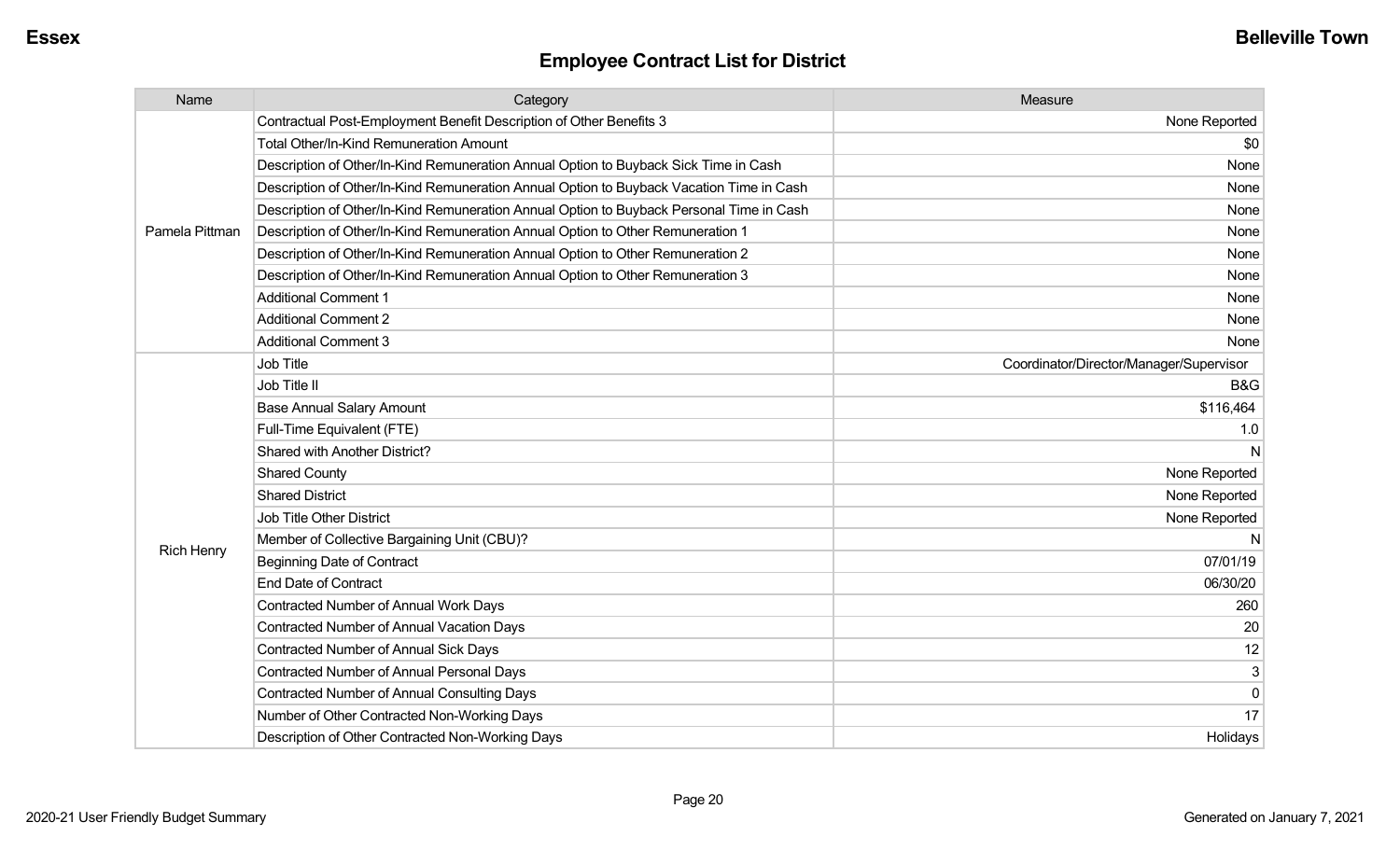| Name              | Category                                                                                 | Measure                                 |
|-------------------|------------------------------------------------------------------------------------------|-----------------------------------------|
|                   | Contractual Post-Employment Benefit Description of Other Benefits 3                      | None Reported                           |
|                   | <b>Total Other/In-Kind Remuneration Amount</b>                                           | \$0                                     |
|                   | Description of Other/In-Kind Remuneration Annual Option to Buyback Sick Time in Cash     | None                                    |
|                   | Description of Other/In-Kind Remuneration Annual Option to Buyback Vacation Time in Cash | None                                    |
|                   | Description of Other/In-Kind Remuneration Annual Option to Buyback Personal Time in Cash | None                                    |
| Pamela Pittman    | Description of Other/In-Kind Remuneration Annual Option to Other Remuneration 1          | None                                    |
|                   | Description of Other/In-Kind Remuneration Annual Option to Other Remuneration 2          | None                                    |
|                   | Description of Other/In-Kind Remuneration Annual Option to Other Remuneration 3          | None                                    |
|                   | <b>Additional Comment 1</b>                                                              | None                                    |
|                   | <b>Additional Comment 2</b>                                                              | None                                    |
|                   | <b>Additional Comment 3</b>                                                              | None                                    |
|                   | Job Title                                                                                | Coordinator/Director/Manager/Supervisor |
|                   | Job Title II                                                                             | <b>B&amp;G</b>                          |
|                   | <b>Base Annual Salary Amount</b>                                                         | \$116,464                               |
|                   | Full-Time Equivalent (FTE)                                                               | 1.0                                     |
|                   | Shared with Another District?                                                            |                                         |
|                   | <b>Shared County</b>                                                                     | None Reported                           |
|                   | <b>Shared District</b>                                                                   | None Reported                           |
|                   | Job Title Other District                                                                 | None Reported                           |
|                   | Member of Collective Bargaining Unit (CBU)?                                              |                                         |
| <b>Rich Henry</b> | <b>Beginning Date of Contract</b>                                                        | 07/01/19                                |
|                   | <b>End Date of Contract</b>                                                              | 06/30/20                                |
|                   | <b>Contracted Number of Annual Work Days</b>                                             | 260                                     |
|                   | <b>Contracted Number of Annual Vacation Days</b>                                         | 20                                      |
|                   | <b>Contracted Number of Annual Sick Days</b>                                             | 12                                      |
|                   | Contracted Number of Annual Personal Days                                                | 3                                       |
|                   | <b>Contracted Number of Annual Consulting Days</b>                                       | $\mathbf 0$                             |
|                   | Number of Other Contracted Non-Working Days                                              | 17                                      |
|                   | Description of Other Contracted Non-Working Days                                         | Holidays                                |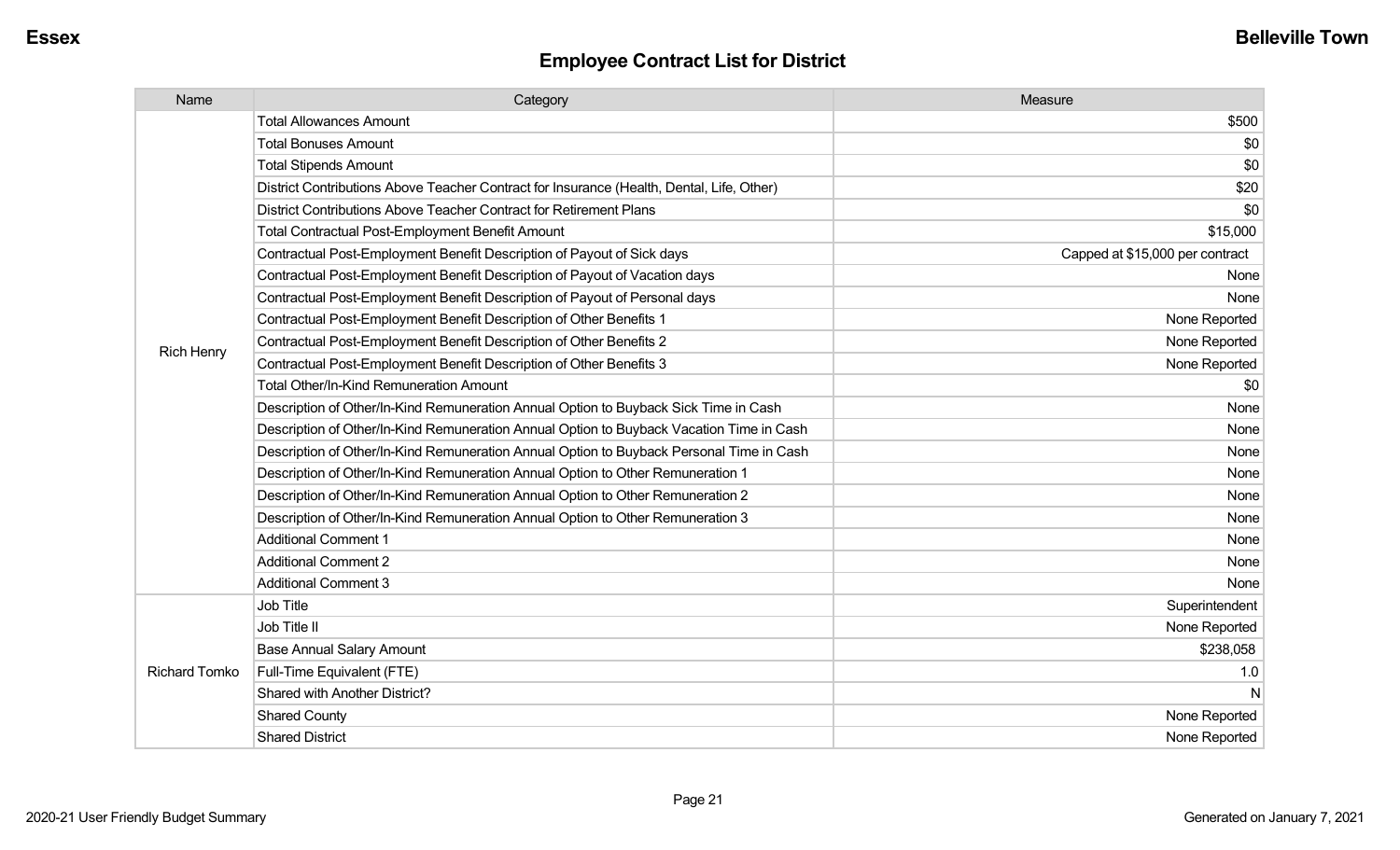| Name                 | Category                                                                                  | Measure                         |
|----------------------|-------------------------------------------------------------------------------------------|---------------------------------|
|                      | <b>Total Allowances Amount</b>                                                            | \$500                           |
|                      | <b>Total Bonuses Amount</b>                                                               | \$0                             |
|                      | <b>Total Stipends Amount</b>                                                              | \$0                             |
|                      | District Contributions Above Teacher Contract for Insurance (Health, Dental, Life, Other) | \$20                            |
|                      | District Contributions Above Teacher Contract for Retirement Plans                        | \$0                             |
|                      | Total Contractual Post-Employment Benefit Amount                                          | \$15,000                        |
|                      | Contractual Post-Employment Benefit Description of Payout of Sick days                    | Capped at \$15,000 per contract |
|                      | Contractual Post-Employment Benefit Description of Payout of Vacation days                | None                            |
|                      | Contractual Post-Employment Benefit Description of Payout of Personal days                | None                            |
|                      | Contractual Post-Employment Benefit Description of Other Benefits 1                       | None Reported                   |
| <b>Rich Henry</b>    | Contractual Post-Employment Benefit Description of Other Benefits 2                       | None Reported                   |
|                      | Contractual Post-Employment Benefit Description of Other Benefits 3                       | None Reported                   |
|                      | <b>Total Other/In-Kind Remuneration Amount</b>                                            | \$0                             |
|                      | Description of Other/In-Kind Remuneration Annual Option to Buyback Sick Time in Cash      | None                            |
|                      | Description of Other/In-Kind Remuneration Annual Option to Buyback Vacation Time in Cash  | None                            |
|                      | Description of Other/In-Kind Remuneration Annual Option to Buyback Personal Time in Cash  | None                            |
|                      | Description of Other/In-Kind Remuneration Annual Option to Other Remuneration 1           | None                            |
|                      | Description of Other/In-Kind Remuneration Annual Option to Other Remuneration 2           | None                            |
|                      | Description of Other/In-Kind Remuneration Annual Option to Other Remuneration 3           | None                            |
|                      | <b>Additional Comment 1</b>                                                               | None                            |
|                      | <b>Additional Comment 2</b>                                                               | None                            |
|                      | Additional Comment 3                                                                      | None                            |
|                      | Job Title                                                                                 | Superintendent                  |
| <b>Richard Tomko</b> | Job Title II                                                                              | None Reported                   |
|                      | <b>Base Annual Salary Amount</b>                                                          | \$238,058                       |
|                      | Full-Time Equivalent (FTE)                                                                | 1.0                             |
|                      | Shared with Another District?                                                             | N                               |
|                      | <b>Shared County</b>                                                                      | None Reported                   |
|                      | <b>Shared District</b>                                                                    | None Reported                   |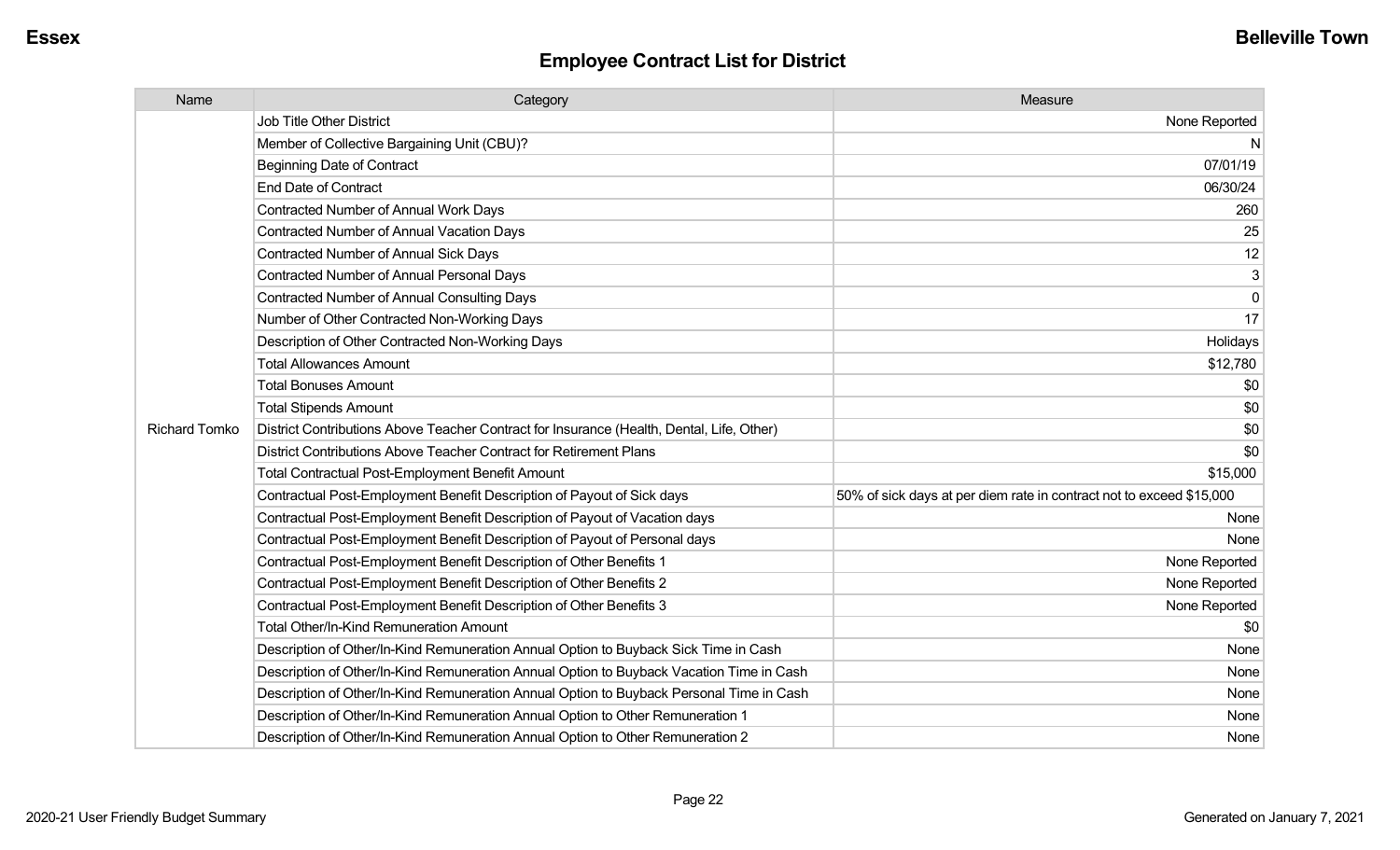| Name                 | Category                                                                                  | Measure                                                              |
|----------------------|-------------------------------------------------------------------------------------------|----------------------------------------------------------------------|
|                      | <b>Job Title Other District</b>                                                           | None Reported                                                        |
|                      | Member of Collective Bargaining Unit (CBU)?                                               | N                                                                    |
|                      | <b>Beginning Date of Contract</b>                                                         | 07/01/19                                                             |
|                      | <b>End Date of Contract</b>                                                               | 06/30/24                                                             |
|                      | Contracted Number of Annual Work Days                                                     | 260                                                                  |
|                      | <b>Contracted Number of Annual Vacation Days</b>                                          | 25                                                                   |
|                      | <b>Contracted Number of Annual Sick Days</b>                                              | 12                                                                   |
|                      | <b>Contracted Number of Annual Personal Days</b>                                          | 3                                                                    |
|                      | <b>Contracted Number of Annual Consulting Days</b>                                        | $\mathbf 0$                                                          |
|                      | Number of Other Contracted Non-Working Days                                               | 17                                                                   |
|                      | Description of Other Contracted Non-Working Days                                          | Holidays                                                             |
|                      | <b>Total Allowances Amount</b>                                                            | \$12,780                                                             |
|                      | <b>Total Bonuses Amount</b>                                                               | \$0                                                                  |
|                      | <b>Total Stipends Amount</b>                                                              | \$0                                                                  |
| <b>Richard Tomko</b> | District Contributions Above Teacher Contract for Insurance (Health, Dental, Life, Other) | \$0                                                                  |
|                      | District Contributions Above Teacher Contract for Retirement Plans                        | \$0                                                                  |
|                      | <b>Total Contractual Post-Employment Benefit Amount</b>                                   | \$15,000                                                             |
|                      | Contractual Post-Employment Benefit Description of Payout of Sick days                    | 50% of sick days at per diem rate in contract not to exceed \$15,000 |
|                      | Contractual Post-Employment Benefit Description of Payout of Vacation days                | None                                                                 |
|                      | Contractual Post-Employment Benefit Description of Payout of Personal days                | None                                                                 |
|                      | Contractual Post-Employment Benefit Description of Other Benefits 1                       | None Reported                                                        |
|                      | Contractual Post-Employment Benefit Description of Other Benefits 2                       | None Reported                                                        |
|                      | Contractual Post-Employment Benefit Description of Other Benefits 3                       | None Reported                                                        |
|                      | Total Other/In-Kind Remuneration Amount                                                   | \$0                                                                  |
|                      | Description of Other/In-Kind Remuneration Annual Option to Buyback Sick Time in Cash      | None                                                                 |
|                      | Description of Other/In-Kind Remuneration Annual Option to Buyback Vacation Time in Cash  | None                                                                 |
|                      | Description of Other/In-Kind Remuneration Annual Option to Buyback Personal Time in Cash  | None                                                                 |
|                      | Description of Other/In-Kind Remuneration Annual Option to Other Remuneration 1           | None                                                                 |
|                      | Description of Other/In-Kind Remuneration Annual Option to Other Remuneration 2           | None                                                                 |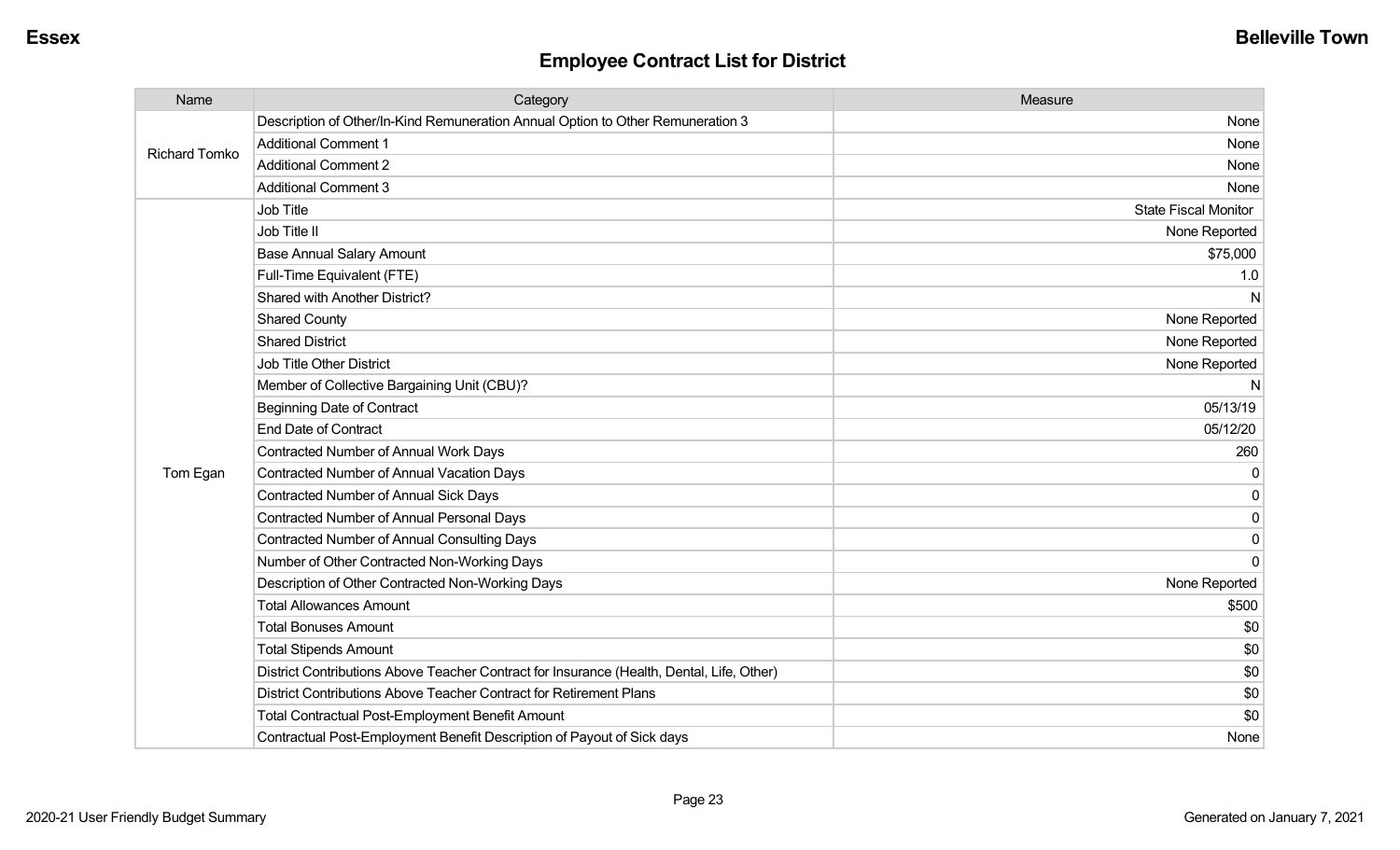| Name                 | Category                                                                                  | Measure                     |
|----------------------|-------------------------------------------------------------------------------------------|-----------------------------|
| <b>Richard Tomko</b> | Description of Other/In-Kind Remuneration Annual Option to Other Remuneration 3           | None                        |
|                      | <b>Additional Comment 1</b>                                                               | None                        |
|                      | <b>Additional Comment 2</b>                                                               | None                        |
|                      | <b>Additional Comment 3</b>                                                               | None                        |
|                      | <b>Job Title</b>                                                                          | <b>State Fiscal Monitor</b> |
|                      | Job Title II                                                                              | None Reported               |
|                      | <b>Base Annual Salary Amount</b>                                                          | \$75,000                    |
|                      | Full-Time Equivalent (FTE)                                                                | 1.0                         |
|                      | Shared with Another District?                                                             | N                           |
|                      | <b>Shared County</b>                                                                      | None Reported               |
|                      | <b>Shared District</b>                                                                    | None Reported               |
|                      | <b>Job Title Other District</b>                                                           | None Reported               |
|                      | Member of Collective Bargaining Unit (CBU)?                                               | N                           |
|                      | <b>Beginning Date of Contract</b>                                                         | 05/13/19                    |
|                      | <b>End Date of Contract</b>                                                               | 05/12/20                    |
|                      | <b>Contracted Number of Annual Work Days</b>                                              | 260                         |
| Tom Egan             | <b>Contracted Number of Annual Vacation Days</b>                                          | $\Omega$                    |
|                      | Contracted Number of Annual Sick Days                                                     | $\mathbf{0}$                |
|                      | <b>Contracted Number of Annual Personal Days</b>                                          | $\mathbf 0$                 |
|                      | <b>Contracted Number of Annual Consulting Days</b>                                        | 0                           |
|                      | Number of Other Contracted Non-Working Days                                               | $\Omega$                    |
|                      | Description of Other Contracted Non-Working Days                                          | None Reported               |
|                      | <b>Total Allowances Amount</b>                                                            | \$500                       |
|                      | <b>Total Bonuses Amount</b>                                                               | \$0                         |
|                      | <b>Total Stipends Amount</b>                                                              | \$0                         |
|                      | District Contributions Above Teacher Contract for Insurance (Health, Dental, Life, Other) | \$0                         |
|                      | District Contributions Above Teacher Contract for Retirement Plans                        | \$0                         |
|                      | <b>Total Contractual Post-Employment Benefit Amount</b>                                   | \$0                         |
|                      | Contractual Post-Employment Benefit Description of Payout of Sick days                    | None                        |